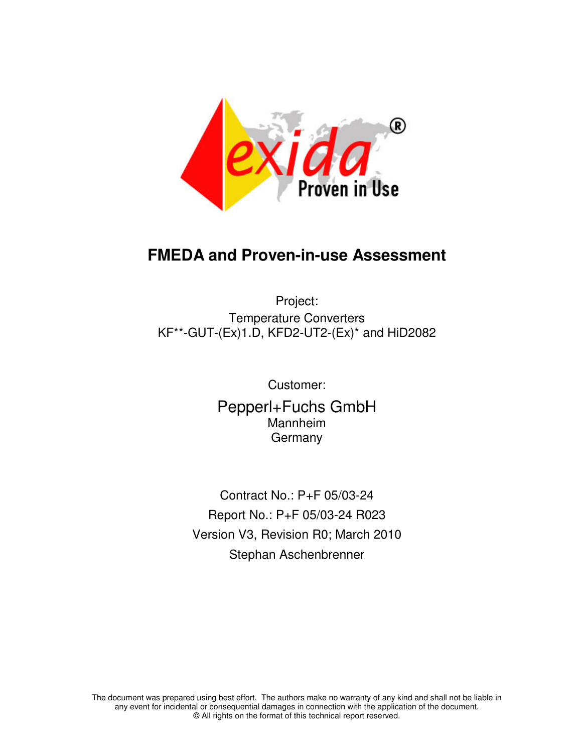

# **FMEDA and Proven-in-use Assessment**

Project: Temperature Converters KF\*\*-GUT-(Ex)1.D, KFD2-UT2-(Ex)\* and HiD2082

> Customer: Pepperl+Fuchs GmbH Mannheim Germany

Contract No.: P+F 05/03-24 Report No.: P+F 05/03-24 R023 Version V3, Revision R0; March 2010 Stephan Aschenbrenner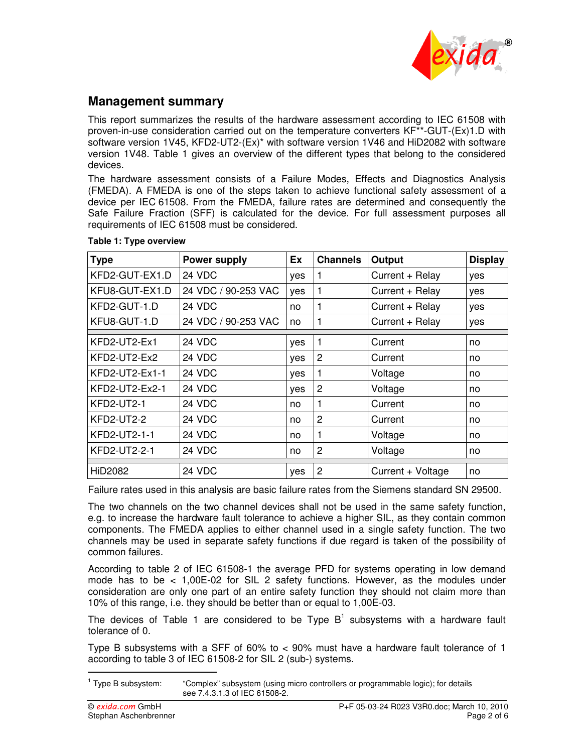

## **Management summary**

This report summarizes the results of the hardware assessment according to IEC 61508 with proven-in-use consideration carried out on the temperature converters KF\*\*-GUT-(Ex)1.D with software version 1V45, KFD2-UT2-(Ex)\* with software version 1V46 and HiD2082 with software version 1V48. Table 1 gives an overview of the different types that belong to the considered devices.

The hardware assessment consists of a Failure Modes, Effects and Diagnostics Analysis (FMEDA). A FMEDA is one of the steps taken to achieve functional safety assessment of a device per IEC 61508. From the FMEDA, failure rates are determined and consequently the Safe Failure Fraction (SFF) is calculated for the device. For full assessment purposes all requirements of IEC 61508 must be considered.

| <b>Type</b>       | <b>Power supply</b> | Ex  | <b>Channels</b> | Output            | <b>Display</b> |
|-------------------|---------------------|-----|-----------------|-------------------|----------------|
| KFD2-GUT-EX1.D    | 24 VDC              | yes | 1               | Current + Relay   | yes            |
| KFU8-GUT-EX1.D    | 24 VDC / 90-253 VAC | yes | 1               | Current + Relay   | yes            |
| KFD2-GUT-1.D      | 24 VDC              | no  | 1               | Current + Relay   | yes            |
| KFU8-GUT-1.D      | 24 VDC / 90-253 VAC | no  | 1               | Current + Relay   | yes            |
|                   |                     |     |                 |                   |                |
| KFD2-UT2-Ex1      | 24 VDC              | ves | 1               | Current           | no             |
| KFD2-UT2-Ex2      | 24 VDC              | yes | $\overline{c}$  | Current           | no             |
| $KFD2-UT2-Ex1-1$  | 24 VDC              | yes |                 | Voltage           | no             |
| $KFD2$ -UT2-Ex2-1 | 24 VDC              | yes | $\overline{c}$  | Voltage           | no             |
| KFD2-UT2-1        | 24 VDC              | no. | 1               | Current           | no             |
| KFD2-UT2-2        | 24 VDC              | no  | $\overline{2}$  | Current           | no             |
| KFD2-UT2-1-1      | 24 VDC              | no  | 1               | Voltage           | no             |
| KFD2-UT2-2-1      | 24 VDC              | no  | 2               | Voltage           | no             |
|                   |                     |     |                 |                   |                |
| <b>HiD2082</b>    | 24 VDC              | yes | $\overline{c}$  | Current + Voltage | no             |

#### **Table 1: Type overview**

Failure rates used in this analysis are basic failure rates from the Siemens standard SN 29500.

The two channels on the two channel devices shall not be used in the same safety function, e.g. to increase the hardware fault tolerance to achieve a higher SIL, as they contain common components. The FMEDA applies to either channel used in a single safety function. The two channels may be used in separate safety functions if due regard is taken of the possibility of common failures.

According to table 2 of IEC 61508-1 the average PFD for systems operating in low demand mode has to be < 1,00E-02 for SIL 2 safety functions. However, as the modules under consideration are only one part of an entire safety function they should not claim more than 10% of this range, i.e. they should be better than or equal to 1,00E-03.

The devices of Table 1 are considered to be Type  $B^1$  subsystems with a hardware fault tolerance of 0.

Type B subsystems with a SFF of 60% to < 90% must have a hardware fault tolerance of 1 according to table 3 of IEC 61508-2 for SIL 2 (sub-) systems.

 $\ddot{ }$ 

 $1$  Type B subsystem: "Complex" subsystem (using micro controllers or programmable logic); for details see 7.4.3.1.3 of IEC 61508-2.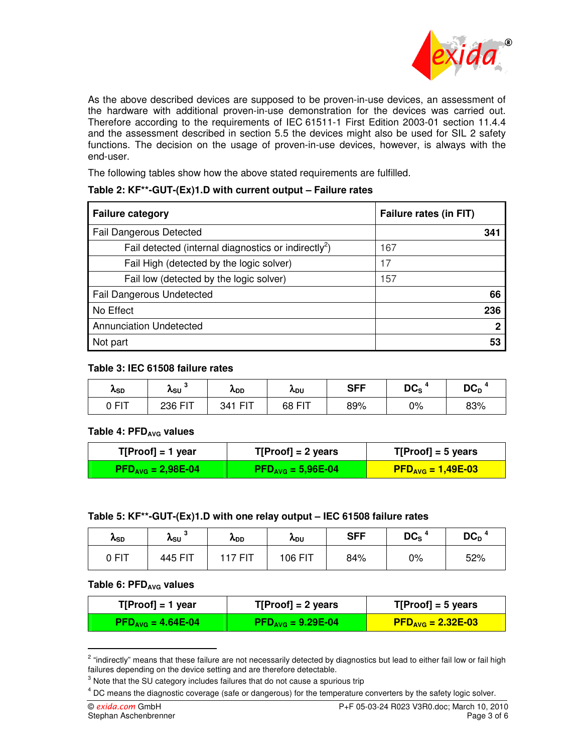

As the above described devices are supposed to be proven-in-use devices, an assessment of the hardware with additional proven-in-use demonstration for the devices was carried out. Therefore according to the requirements of IEC 61511-1 First Edition 2003-01 section 11.4.4 and the assessment described in section 5.5 the devices might also be used for SIL 2 safety functions. The decision on the usage of proven-in-use devices, however, is always with the end-user.

The following tables show how the above stated requirements are fulfilled.

### **Table 2: KF\*\*-GUT-(Ex)1.D with current output – Failure rates**

| <b>Failure category</b>                                          | Failure rates (in FIT) |
|------------------------------------------------------------------|------------------------|
| <b>Fail Dangerous Detected</b>                                   | 341                    |
| Fail detected (internal diagnostics or indirectly <sup>2</sup> ) | 167                    |
| Fail High (detected by the logic solver)                         | 17                     |
| Fail low (detected by the logic solver)                          | 157                    |
| <b>Fail Dangerous Undetected</b>                                 | 66                     |
| No Effect                                                        | 236                    |
| <b>Annunciation Undetected</b>                                   | 2                      |
| Not part                                                         | 53                     |

#### **Table 3: IEC 61508 failure rates**

| <b>ASD</b> | <b>ASU</b> | <b>ADD</b>        | <b>ADU</b> | <b>SFF</b> | DC <sub>s</sub> | $DC_D$ |
|------------|------------|-------------------|------------|------------|-----------------|--------|
| 0 FIT      | 236 FIT    | <b>FIT</b><br>341 | 68 FIT     | 89%        | 0%              | 83%    |

#### **Table 4: PFD<sub>AVG</sub> values**

| $T[Proof] = 1$ year                    | $T[Proof] = 2 \text{ years}$           | $T[Proof] = 5$ years             |
|----------------------------------------|----------------------------------------|----------------------------------|
| $\text{PFD}_{\text{AVG}} = 2,98E - 04$ | $\text{PFD}_{\text{AVG}} = 5,96E - 04$ | $\overline{PP_{AVG}}$ = 1,49E-03 |

#### **Table 5: KF\*\*-GUT-(Ex)1.D with one relay output – IEC 61508 failure rates**

| $\ddot{\phantom{0}}$<br><b>A<sub>SD</sub></b> | <b>ASU</b> | <b>ADD</b>   | <b>A<sub>DU</sub></b> | <b>SFF</b> | DC <sub>s</sub> | DC <sub>D</sub> |
|-----------------------------------------------|------------|--------------|-----------------------|------------|-----------------|-----------------|
| 0 FIT                                         | 445 FIT    | <b>7 FIT</b> | 106 FIT               | 84%        | 0%              | 52%             |

#### **Table 6: PFDAVG values**

| $T[Proof] = 1$ year    | $T[Proof] = 2 \text{ years}$ | $T[Proof] = 5$ years             |
|------------------------|------------------------------|----------------------------------|
| $PFD_{AVG} = 4.64E-04$ | $PFD_{AVG} = 9.29E-04$       | $\overline{PP_{AVG}}$ = 2.32E-03 |

<sup>&</sup>lt;sup>2</sup> "indirectly" means that these failure are not necessarily detected by diagnostics but lead to either fail low or fail high failures depending on the device setting and are therefore detectable.

 $3$  Note that the SU category includes failures that do not cause a spurious trip

<sup>&</sup>lt;sup>4</sup> DC means the diagnostic coverage (safe or dangerous) for the temperature converters by the safety logic solver.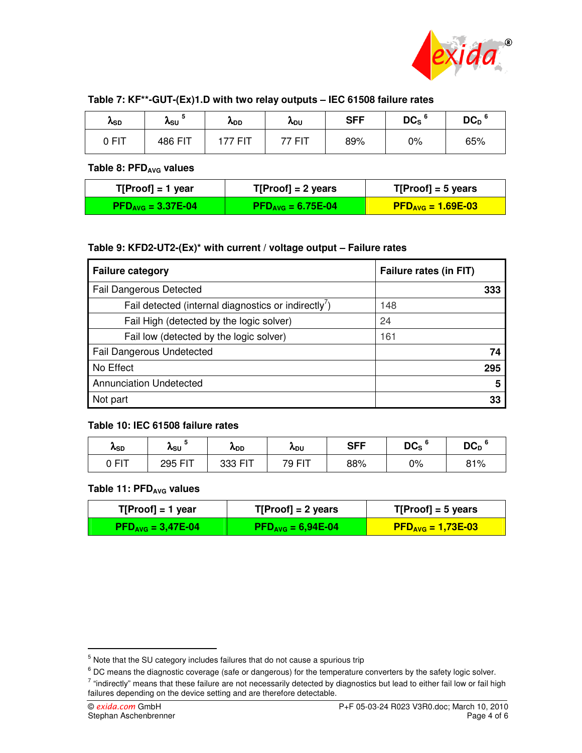

#### **Table 7: KF\*\*-GUT-(Ex)1.D with two relay outputs – IEC 61508 failure rates**

| $\ddot{\phantom{1}}$<br><b>ASD</b> | <br>A <sub>SU</sub> | <b>ADD</b>    | <b>ADU</b> | <b>SFF</b> | DC <sub>s</sub> | $DC_D$ |
|------------------------------------|---------------------|---------------|------------|------------|-----------------|--------|
| 0 FIT                              | 486 FIT             | $\angle$ FIT. | דןF 77     | 89%        | 0%              | 65%    |

### Table 8: PFD<sub>AVG</sub> values

| $T[Proof] = 1$ year    | $T[Proof] = 2 \text{ years}$ | $T[Proof] = 5$ years             |
|------------------------|------------------------------|----------------------------------|
| $PFD_{AVG} = 3.37E-04$ | $PFD_{AVG} = 6.75E-04$       | $\overline{PP_{AVG}}$ = 1.69E-03 |

#### **Table 9: KFD2-UT2-(Ex)\* with current / voltage output – Failure rates**

| <b>Failure category</b>                            | Failure rates (in FIT) |
|----------------------------------------------------|------------------------|
| <b>Fail Dangerous Detected</b>                     | 333                    |
| Fail detected (internal diagnostics or indirectly) | 148                    |
| Fail High (detected by the logic solver)           | 24                     |
| Fail low (detected by the logic solver)            | 161                    |
| <b>Fail Dangerous Undetected</b>                   | 74                     |
| No Effect                                          | 295                    |
| <b>Annunciation Undetected</b>                     | 5                      |
| Not part                                           | 33                     |

### **Table 10: IEC 61508 failure rates**

| <b>ASD</b> | <b>ASU</b>        | <b>^</b> DD | <b>ADU</b>    | <b>SFF</b> | $DC_{S}$ | $DC_D$ |
|------------|-------------------|-------------|---------------|------------|----------|--------|
| 0 FIT      | <b>FIT</b><br>295 | 333 FIT     | <b>79 FIT</b> | 88%        | 0%       | 81%    |

## **Table 11: PFDAVG values**

| $T[Proof] = 1$ year    | $T[Proof] = 2 \text{ years}$ | $T[Proof] = 5$ years             |
|------------------------|------------------------------|----------------------------------|
| $PFD_{AVG} = 3,47E-04$ | $PFD_{AVG} = 6,94E-04$       | $\overline{PP_{AVG}} = 1,73E-03$ |

 $<sup>5</sup>$  Note that the SU category includes failures that do not cause a spurious trip</sup>

<sup>&</sup>lt;sup>6</sup> DC means the diagnostic coverage (safe or dangerous) for the temperature converters by the safety logic solver.

 $^7$  "indirectly" means that these failure are not necessarily detected by diagnostics but lead to either fail low or fail high failures depending on the device setting and are therefore detectable.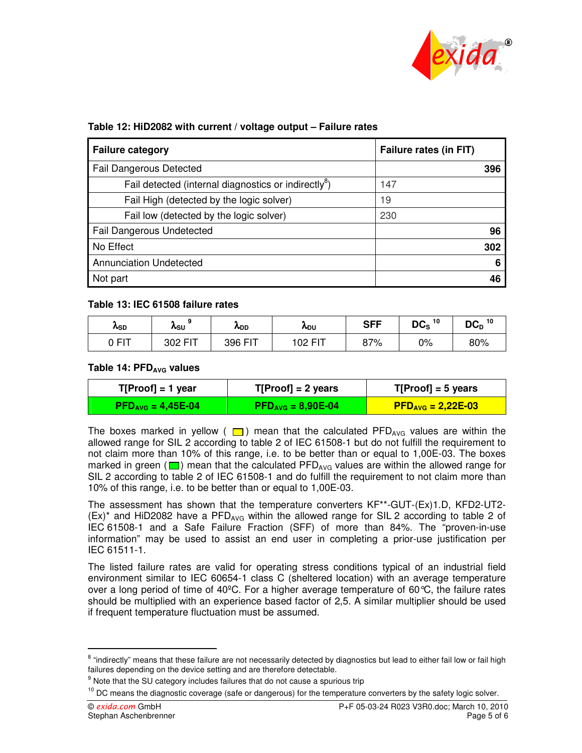

| <b>Failure category</b>                                          | Failure rates (in FIT) |
|------------------------------------------------------------------|------------------------|
| <b>Fail Dangerous Detected</b>                                   | 396                    |
| Fail detected (internal diagnostics or indirectly <sup>8</sup> ) | 147                    |
| Fail High (detected by the logic solver)                         | 19                     |
| Fail low (detected by the logic solver)                          | 230                    |
| <b>Fail Dangerous Undetected</b>                                 | 96                     |
| No Effect                                                        | 302                    |
| <b>Annunciation Undetected</b>                                   | 6                      |
| Not part                                                         | 46                     |

#### **Table 12: HiD2082 with current / voltage output – Failure rates**

#### **Table 13: IEC 61508 failure rates**

| <b>ASD</b> | <b>ASU</b> | <b>ADD</b> | <b>ADU</b> | <b>SFF</b> | 10<br>DC <sub>s</sub> | 10<br>$DC_D$ |
|------------|------------|------------|------------|------------|-----------------------|--------------|
| 0 FIT      | 302 FIT    | 396 FIT    | 102 F      | 87%        | 0%                    | 80%          |

#### Table 14: PFD<sub>AVG</sub> values

| $T[Proof] = 1$ year                  | $T[Proof] = 2 \text{ years}$         | $T[Proof] = 5$ years             |
|--------------------------------------|--------------------------------------|----------------------------------|
| $\text{PFD}_{\text{AVG}} = 4,45E-04$ | $\text{PFD}_{\text{AVG}} = 8,90E-04$ | $\overline{PP_{AVG}} = 2,22E-03$ |

The boxes marked in yellow ( $\Box$ ) mean that the calculated PFD<sub>AVG</sub> values are within the allowed range for SIL 2 according to table 2 of IEC 61508-1 but do not fulfill the requirement to not claim more than 10% of this range, i.e. to be better than or equal to 1,00E-03. The boxes marked in green ( $\Box$ ) mean that the calculated PFD<sub>AVG</sub> values are within the allowed range for SIL 2 according to table 2 of IEC 61508-1 and do fulfill the requirement to not claim more than 10% of this range, i.e. to be better than or equal to 1,00E-03.

The assessment has shown that the temperature converters KF\*\*-GUT-(Ex)1.D, KFD2-UT2-  $(Ex)^*$  and HiD2082 have a PFD<sub>AVG</sub> within the allowed range for SIL 2 according to table 2 of IEC 61508-1 and a Safe Failure Fraction (SFF) of more than 84%. The "proven-in-use information" may be used to assist an end user in completing a prior-use justification per IEC 61511-1.

The listed failure rates are valid for operating stress conditions typical of an industrial field environment similar to IEC 60654-1 class C (sheltered location) with an average temperature over a long period of time of 40ºC. For a higher average temperature of 60°C, the failure rates should be multiplied with an experience based factor of 2,5. A similar multiplier should be used if frequent temperature fluctuation must be assumed.

<sup>&</sup>lt;sup>8</sup> "indirectly" means that these failure are not necessarily detected by diagnostics but lead to either fail low or fail high failures depending on the device setting and are therefore detectable.

 $9$  Note that the SU category includes failures that do not cause a spurious trip

<sup>&</sup>lt;sup>10</sup> DC means the diagnostic coverage (safe or dangerous) for the temperature converters by the safety logic solver.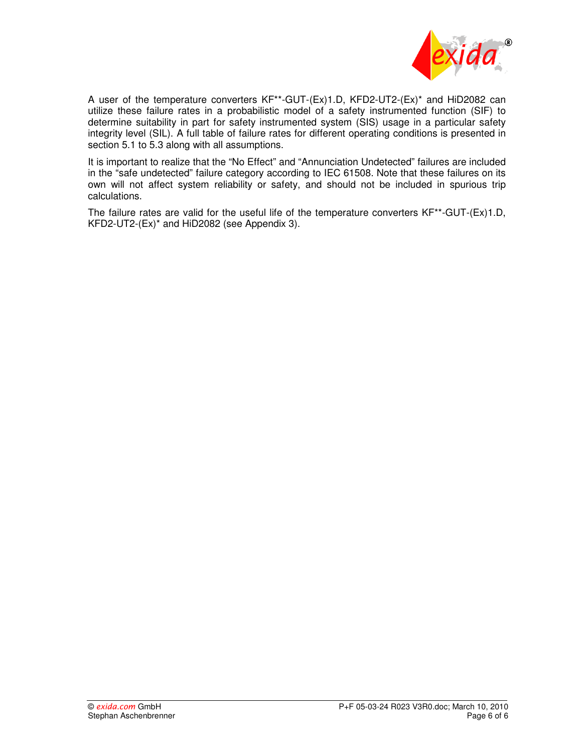

A user of the temperature converters KF\*\*-GUT-(Ex)1.D, KFD2-UT2-(Ex)\* and HiD2082 can utilize these failure rates in a probabilistic model of a safety instrumented function (SIF) to determine suitability in part for safety instrumented system (SIS) usage in a particular safety integrity level (SIL). A full table of failure rates for different operating conditions is presented in section 5.1 to 5.3 along with all assumptions.

It is important to realize that the "No Effect" and "Annunciation Undetected" failures are included in the "safe undetected" failure category according to IEC 61508. Note that these failures on its own will not affect system reliability or safety, and should not be included in spurious trip calculations.

The failure rates are valid for the useful life of the temperature converters  $KF^{**}GUT-(Ex)1.D$ , KFD2-UT2-(Ex)\* and HiD2082 (see Appendix 3).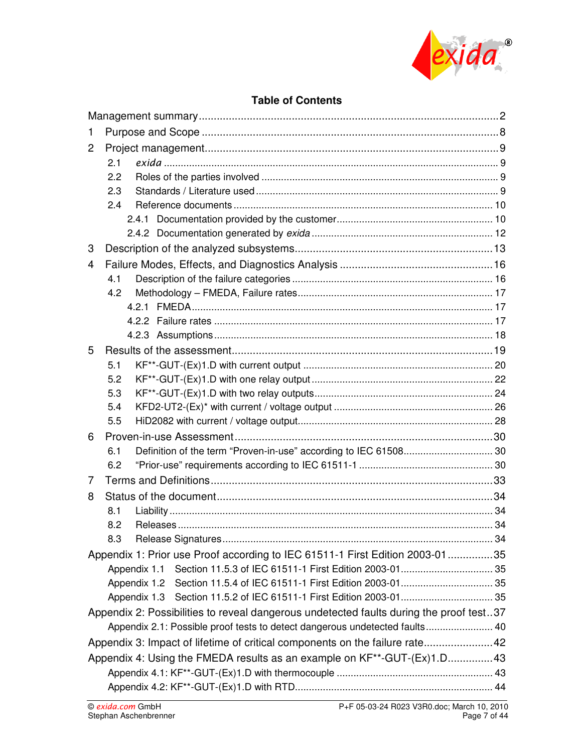

## **Table of Contents**

| 1.             |                                                                                         |  |
|----------------|-----------------------------------------------------------------------------------------|--|
| $\overline{2}$ |                                                                                         |  |
|                | 2.1                                                                                     |  |
|                | 2.2                                                                                     |  |
|                | 2.3                                                                                     |  |
|                | 2.4                                                                                     |  |
|                |                                                                                         |  |
|                |                                                                                         |  |
| 3              |                                                                                         |  |
| 4              |                                                                                         |  |
|                | 4.1                                                                                     |  |
|                | 4.2                                                                                     |  |
|                |                                                                                         |  |
|                |                                                                                         |  |
|                |                                                                                         |  |
| 5              |                                                                                         |  |
|                | 5.1                                                                                     |  |
|                | 5.2                                                                                     |  |
|                | 5.3                                                                                     |  |
|                | 5.4                                                                                     |  |
|                | 5.5                                                                                     |  |
| 6              |                                                                                         |  |
|                | Definition of the term "Proven-in-use" according to IEC 61508 30<br>6.1                 |  |
|                | 6.2                                                                                     |  |
| 7              |                                                                                         |  |
| 8              |                                                                                         |  |
|                | 8.1                                                                                     |  |
|                | 8.2                                                                                     |  |
|                | 8.3                                                                                     |  |
|                | Appendix 1: Prior use Proof according to IEC 61511-1 First Edition 2003-0135            |  |
|                | Appendix 1.1                                                                            |  |
|                |                                                                                         |  |
|                |                                                                                         |  |
|                | Appendix 2: Possibilities to reveal dangerous undetected faults during the proof test37 |  |
|                | Appendix 2.1: Possible proof tests to detect dangerous undetected faults 40             |  |
|                | Appendix 3: Impact of lifetime of critical components on the failure rate42             |  |
|                | Appendix 4: Using the FMEDA results as an example on KF**-GUT-(Ex)1.D43                 |  |
|                |                                                                                         |  |
|                |                                                                                         |  |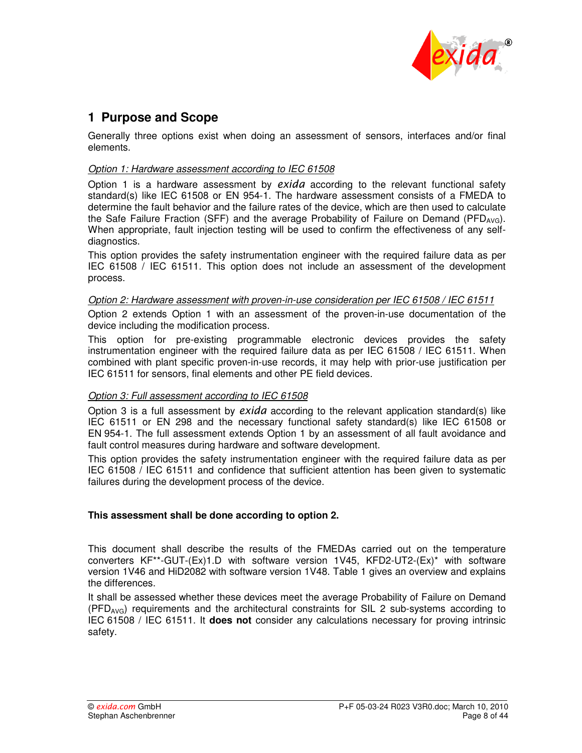

## **1 Purpose and Scope**

Generally three options exist when doing an assessment of sensors, interfaces and/or final elements.

#### Option 1: Hardware assessment according to IEC 61508

Option 1 is a hardware assessment by *exida* according to the relevant functional safety standard(s) like IEC 61508 or EN 954-1. The hardware assessment consists of a FMEDA to determine the fault behavior and the failure rates of the device, which are then used to calculate the Safe Failure Fraction (SFF) and the average Probability of Failure on Demand ( $PFD_{AVG}$ ). When appropriate, fault injection testing will be used to confirm the effectiveness of any selfdiagnostics.

This option provides the safety instrumentation engineer with the required failure data as per IEC 61508 / IEC 61511. This option does not include an assessment of the development process.

#### Option 2: Hardware assessment with proven-in-use consideration per IEC 61508 / IEC 61511

Option 2 extends Option 1 with an assessment of the proven-in-use documentation of the device including the modification process.

This option for pre-existing programmable electronic devices provides the safety instrumentation engineer with the required failure data as per IEC 61508 / IEC 61511. When combined with plant specific proven-in-use records, it may help with prior-use justification per IEC 61511 for sensors, final elements and other PE field devices.

#### Option 3: Full assessment according to IEC 61508

Option 3 is a full assessment by *exida* according to the relevant application standard(s) like IEC 61511 or EN 298 and the necessary functional safety standard(s) like IEC 61508 or EN 954-1. The full assessment extends Option 1 by an assessment of all fault avoidance and fault control measures during hardware and software development.

This option provides the safety instrumentation engineer with the required failure data as per IEC 61508 / IEC 61511 and confidence that sufficient attention has been given to systematic failures during the development process of the device.

### **This assessment shall be done according to option 2.**

This document shall describe the results of the FMEDAs carried out on the temperature converters KF\*\*-GUT-(Ex)1.D with software version 1V45, KFD2-UT2-(Ex)\* with software version 1V46 and HiD2082 with software version 1V48. Table 1 gives an overview and explains the differences.

It shall be assessed whether these devices meet the average Probability of Failure on Demand  $(PED<sub>AVG</sub>)$  requirements and the architectural constraints for SIL 2 sub-systems according to IEC 61508 / IEC 61511. It **does not** consider any calculations necessary for proving intrinsic safety.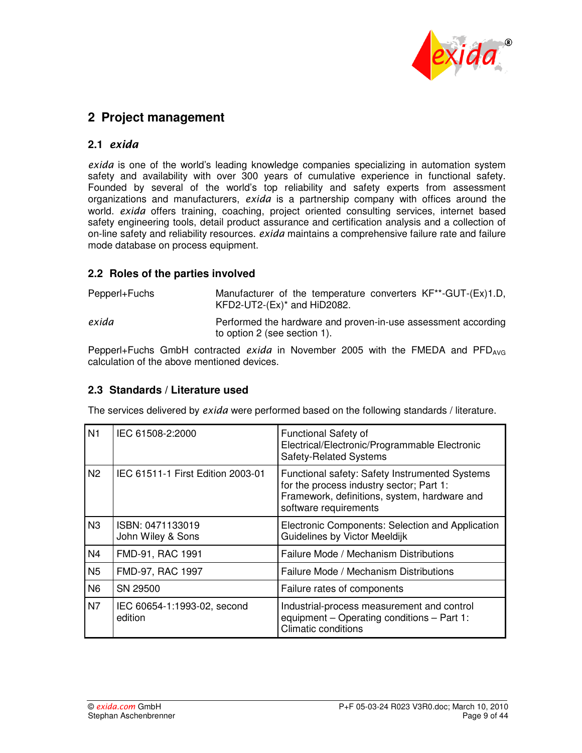

## **2 Project management**

## **2.1** *exida*

*exida* is one of the world's leading knowledge companies specializing in automation system safety and availability with over 300 years of cumulative experience in functional safety. Founded by several of the world's top reliability and safety experts from assessment organizations and manufacturers, *exida* is a partnership company with offices around the world. *exida* offers training, coaching, project oriented consulting services, internet based safety engineering tools, detail product assurance and certification analysis and a collection of on-line safety and reliability resources. *exida* maintains a comprehensive failure rate and failure mode database on process equipment.

## **2.2 Roles of the parties involved**

| Pepperl+Fuchs | Manufacturer of the temperature converters KF**-GUT-(Ex)1.D,<br>KFD2-UT2- $(Ex)^*$ and HiD2082. |
|---------------|-------------------------------------------------------------------------------------------------|
| exida         | Performed the hardware and proven-in-use assessment according<br>to option 2 (see section 1).   |

Pepperl+Fuchs GmbH contracted *exida* in November 2005 with the FMEDA and PFD<sub>AVG</sub> calculation of the above mentioned devices.

### **2.3 Standards / Literature used**

The services delivered by *exida* were performed based on the following standards / literature.

| <b>N1</b>      | IEC 61508-2:2000                       | <b>Functional Safety of</b><br>Electrical/Electronic/Programmable Electronic<br><b>Safety-Related Systems</b>                                                       |
|----------------|----------------------------------------|---------------------------------------------------------------------------------------------------------------------------------------------------------------------|
| N <sub>2</sub> | IEC 61511-1 First Edition 2003-01      | Functional safety: Safety Instrumented Systems<br>for the process industry sector; Part 1:<br>Framework, definitions, system, hardware and<br>software requirements |
| N3             | ISBN: 0471133019<br>John Wiley & Sons  | Electronic Components: Selection and Application<br>Guidelines by Victor Meeldijk                                                                                   |
| N <sub>4</sub> | FMD-91, RAC 1991                       | Failure Mode / Mechanism Distributions                                                                                                                              |
| N <sub>5</sub> | FMD-97, RAC 1997                       | Failure Mode / Mechanism Distributions                                                                                                                              |
| N <sub>6</sub> | SN 29500                               | Failure rates of components                                                                                                                                         |
| <b>N7</b>      | IEC 60654-1:1993-02, second<br>edition | Industrial-process measurement and control<br>equipment - Operating conditions - Part 1:<br><b>Climatic conditions</b>                                              |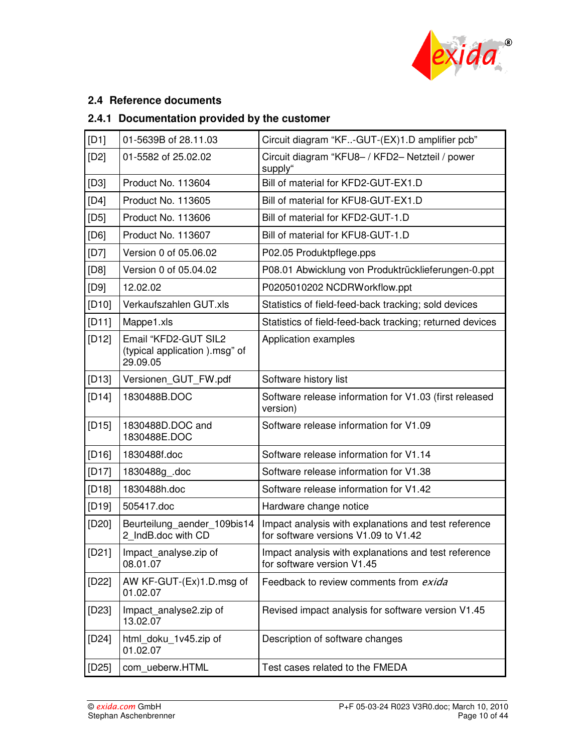

## **2.4 Reference documents**

## **2.4.1 Documentation provided by the customer**

| [D1]  | 01-5639B of 28.11.03                                              | Circuit diagram "KF-GUT-(EX)1.D amplifier pcb"                                               |  |
|-------|-------------------------------------------------------------------|----------------------------------------------------------------------------------------------|--|
| [D2]  | 01-5582 of 25.02.02                                               | Circuit diagram "KFU8- / KFD2- Netzteil / power<br>supply"                                   |  |
| [D3]  | Product No. 113604                                                | Bill of material for KFD2-GUT-EX1.D                                                          |  |
| [D4]  | <b>Product No. 113605</b>                                         | Bill of material for KFU8-GUT-EX1.D                                                          |  |
| [D5]  | Product No. 113606                                                | Bill of material for KFD2-GUT-1.D                                                            |  |
| [D6]  | Product No. 113607                                                | Bill of material for KFU8-GUT-1.D                                                            |  |
| [D7]  | Version 0 of 05.06.02                                             | P02.05 Produktpflege.pps                                                                     |  |
| [D8]  | Version 0 of 05.04.02                                             | P08.01 Abwicklung von Produktrücklieferungen-0.ppt                                           |  |
| [D9]  | 12.02.02                                                          | P0205010202 NCDRWorkflow.ppt                                                                 |  |
| [D10] | Verkaufszahlen GUT.xls                                            | Statistics of field-feed-back tracking; sold devices                                         |  |
| [D11] | Mappe1.xls                                                        | Statistics of field-feed-back tracking; returned devices                                     |  |
| [D12] | Email "KFD2-GUT SIL2<br>(typical application).msg" of<br>29.09.05 | Application examples                                                                         |  |
| [D13] | Versionen_GUT_FW.pdf                                              | Software history list                                                                        |  |
| [D14] | 1830488B.DOC                                                      | Software release information for V1.03 (first released<br>version)                           |  |
| [D15] | 1830488D.DOC and<br>1830488E.DOC                                  | Software release information for V1.09                                                       |  |
| [D16] | 1830488f.doc                                                      | Software release information for V1.14                                                       |  |
| [D17] | 1830488g .doc                                                     | Software release information for V1.38                                                       |  |
| [D18] | 1830488h.doc                                                      | Software release information for V1.42                                                       |  |
| [D19] | 505417.doc                                                        | Hardware change notice                                                                       |  |
| [D20] | Beurteilung_aender_109bis14<br>2 IndB.doc with CD                 | Impact analysis with explanations and test reference<br>for software versions V1.09 to V1.42 |  |
| [D21] | Impact_analyse.zip of<br>08.01.07                                 | Impact analysis with explanations and test reference<br>for software version V1.45           |  |
| [D22] | AW KF-GUT-(Ex)1.D.msg of<br>01.02.07                              | Feedback to review comments from exida                                                       |  |
| [D23] | Impact_analyse2.zip of<br>13.02.07                                | Revised impact analysis for software version V1.45                                           |  |
| [D24] | html_doku_1v45.zip of<br>01.02.07                                 | Description of software changes                                                              |  |
| [D25] | com_ueberw.HTML                                                   | Test cases related to the FMEDA                                                              |  |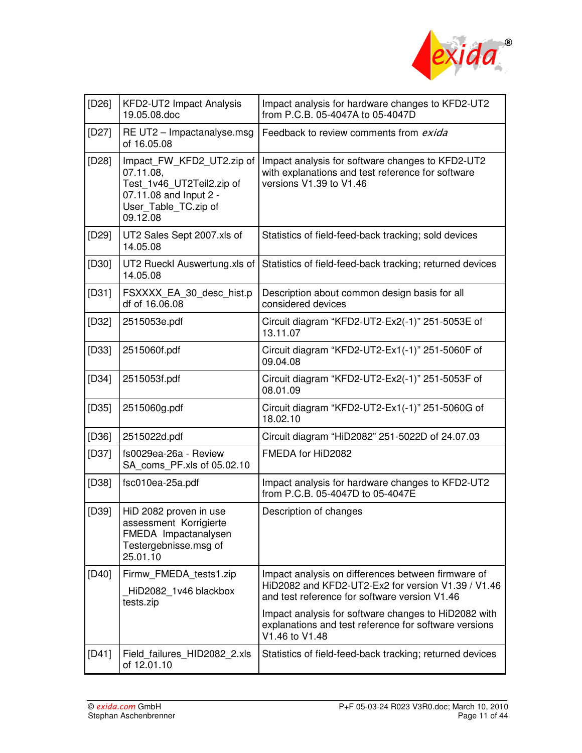

| [D26]   | KFD2-UT2 Impact Analysis<br>19.05.08.doc                                                                                          | Impact analysis for hardware changes to KFD2-UT2<br>from P.C.B. 05-4047A to 05-4047D                                             |  |
|---------|-----------------------------------------------------------------------------------------------------------------------------------|----------------------------------------------------------------------------------------------------------------------------------|--|
| $[D27]$ | RE UT2 - Impactanalyse.msg<br>of 16.05.08                                                                                         | Feedback to review comments from <i>exida</i>                                                                                    |  |
| [D28]   | Impact_FW_KFD2_UT2.zip of<br>07.11.08,<br>Test_1v46_UT2Teil2.zip of<br>07.11.08 and Input 2 -<br>User_Table_TC.zip of<br>09.12.08 | Impact analysis for software changes to KFD2-UT2<br>with explanations and test reference for software<br>versions V1 39 to V1.46 |  |
| [D29]   | UT2 Sales Sept 2007.xls of<br>14.05.08                                                                                            | Statistics of field-feed-back tracking; sold devices                                                                             |  |
| [D30]   | UT2 Rueckl Auswertung.xls of<br>14.05.08                                                                                          | Statistics of field-feed-back tracking; returned devices                                                                         |  |
| [D31]   | FSXXXX_EA_30_desc_hist.p<br>df of 16.06.08                                                                                        | Description about common design basis for all<br>considered devices                                                              |  |
| $[D32]$ | 2515053e.pdf                                                                                                                      | Circuit diagram "KFD2-UT2-Ex2(-1)" 251-5053E of<br>13.11.07                                                                      |  |
| [D33]   | 2515060f.pdf                                                                                                                      | Circuit diagram "KFD2-UT2-Ex1(-1)" 251-5060F of<br>09.04.08                                                                      |  |
| [D34]   | 2515053f.pdf                                                                                                                      | Circuit diagram "KFD2-UT2-Ex2(-1)" 251-5053F of<br>08.01.09                                                                      |  |
| [D35]   | 2515060g.pdf                                                                                                                      | Circuit diagram "KFD2-UT2-Ex1(-1)" 251-5060G of<br>18.02.10                                                                      |  |
| [D36]   | 2515022d.pdf                                                                                                                      | Circuit diagram "HiD2082" 251-5022D of 24.07.03                                                                                  |  |
| $[D37]$ | fs0029ea-26a - Review<br>SA_coms_PF.xls of 05.02.10                                                                               | FMEDA for HiD2082                                                                                                                |  |
| [D38]   | fsc010ea-25a.pdf                                                                                                                  | Impact analysis for hardware changes to KFD2-UT2<br>from P.C.B. 05-4047D to 05-4047E                                             |  |
| $[D39]$ | HiD 2082 proven in use<br>assessment Korrigierte<br>FMEDA Impactanalysen<br>Testergebnisse.msg of<br>25.01.10                     | Description of changes                                                                                                           |  |
| [D40]   | Firmw_FMEDA_tests1.zip                                                                                                            | Impact analysis on differences between firmware of                                                                               |  |
|         | HiD2082_1v46 blackbox<br>tests.zip                                                                                                | HiD2082 and KFD2-UT2-Ex2 for version V1.39 / V1.46<br>and test reference for software version V1.46                              |  |
|         |                                                                                                                                   | Impact analysis for software changes to HiD2082 with<br>explanations and test reference for software versions<br>V1.46 to V1.48  |  |
| [D41]   | Field_failures_HID2082_2.xls<br>of 12.01.10                                                                                       | Statistics of field-feed-back tracking; returned devices                                                                         |  |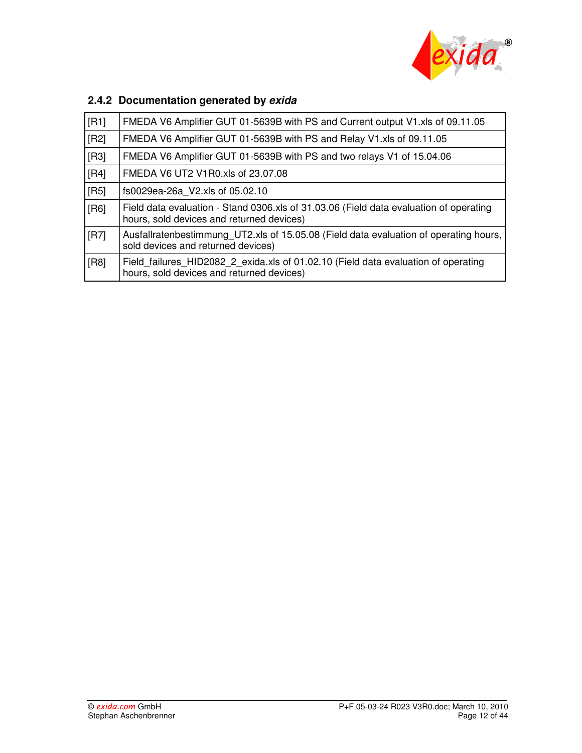

## **2.4.2 Documentation generated by exida**

| [R1] | FMEDA V6 Amplifier GUT 01-5639B with PS and Current output V1.xls of 09.11.05                                                       |
|------|-------------------------------------------------------------------------------------------------------------------------------------|
| [R2] | FMEDA V6 Amplifier GUT 01-5639B with PS and Relay V1 xls of 09.11.05                                                                |
| [R3] | FMEDA V6 Amplifier GUT 01-5639B with PS and two relays V1 of 15.04.06                                                               |
| [R4] | FMEDA V6 UT2 V1R0 xls of 23.07.08                                                                                                   |
| [R5] | fs0029ea-26a V2.xls of 05.02.10                                                                                                     |
| [R6] | Field data evaluation - Stand 0306.xls of 31.03.06 (Field data evaluation of operating<br>hours, sold devices and returned devices) |
| [R7] | Ausfallratenbestimmung UT2.xls of 15.05.08 (Field data evaluation of operating hours,<br>sold devices and returned devices)         |
| [R8] | Field failures HID2082 2 exida.xls of 01.02.10 (Field data evaluation of operating<br>hours, sold devices and returned devices)     |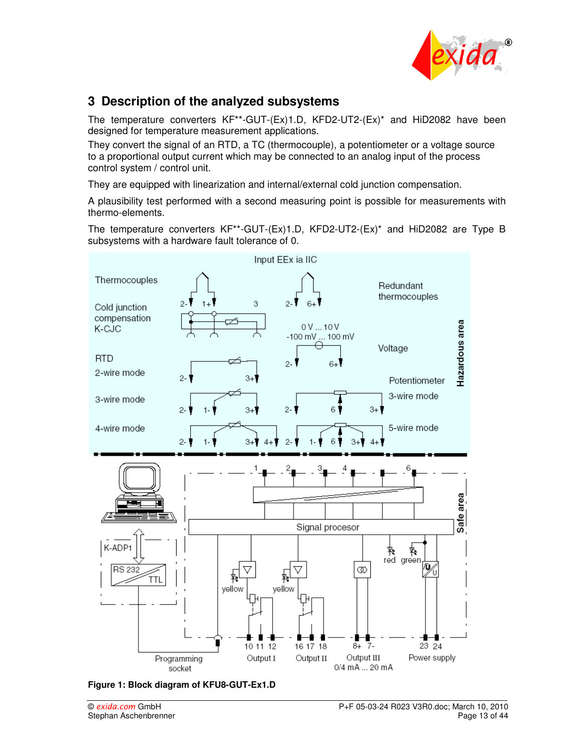

## **3 Description of the analyzed subsystems**

The temperature converters KF\*\*-GUT-(Ex)1.D, KFD2-UT2-(Ex)\* and HiD2082 have been designed for temperature measurement applications.

They convert the signal of an RTD, a TC (thermocouple), a potentiometer or a voltage source to a proportional output current which may be connected to an analog input of the process control system / control unit.

They are equipped with linearization and internal/external cold junction compensation.

A plausibility test performed with a second measuring point is possible for measurements with thermo-elements.

The temperature converters KF\*\*-GUT-(Ex)1.D, KFD2-UT2-(Ex)\* and HiD2082 are Type B subsystems with a hardware fault tolerance of 0.



**Figure 1: Block diagram of KFU8-GUT-Ex1.D**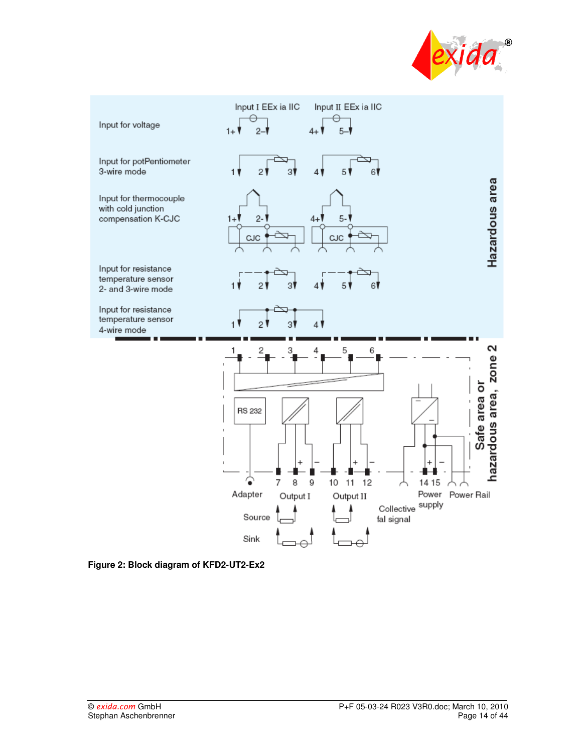



**Figure 2: Block diagram of KFD2-UT2-Ex2**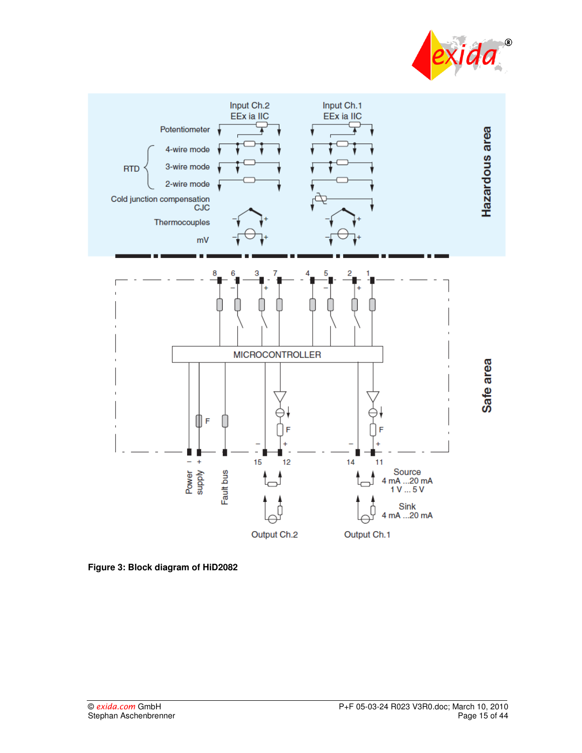



**Figure 3: Block diagram of HiD2082**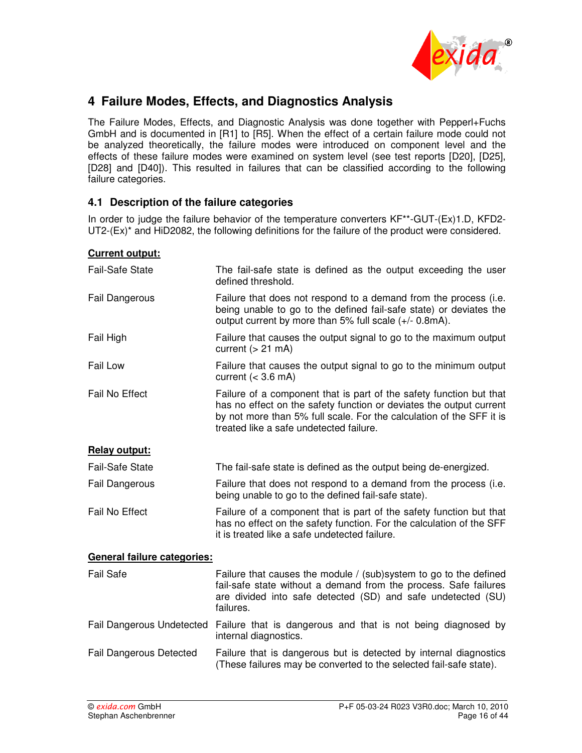

## **4 Failure Modes, Effects, and Diagnostics Analysis**

The Failure Modes, Effects, and Diagnostic Analysis was done together with Pepperl+Fuchs GmbH and is documented in [R1] to [R5]. When the effect of a certain failure mode could not be analyzed theoretically, the failure modes were introduced on component level and the effects of these failure modes were examined on system level (see test reports [D20], [D25], [D28] and [D40]). This resulted in failures that can be classified according to the following failure categories.

## **4.1 Description of the failure categories**

In order to judge the failure behavior of the temperature converters KF\*\*-GUT-(Ex)1.D, KFD2-UT2-(Ex)\* and HiD2082, the following definitions for the failure of the product were considered.

#### **Current output:**

| <b>Fail-Safe State</b>         | The fail-safe state is defined as the output exceeding the user<br>defined threshold.                                                                                                                                                                         |
|--------------------------------|---------------------------------------------------------------------------------------------------------------------------------------------------------------------------------------------------------------------------------------------------------------|
| <b>Fail Dangerous</b>          | Failure that does not respond to a demand from the process (i.e.<br>being unable to go to the defined fail-safe state) or deviates the<br>output current by more than 5% full scale (+/- 0.8mA).                                                              |
| Fail High                      | Failure that causes the output signal to go to the maximum output<br>current $(> 21 \text{ mA})$                                                                                                                                                              |
| Fail Low                       | Failure that causes the output signal to go to the minimum output<br>current $(< 3.6$ mA)                                                                                                                                                                     |
| <b>Fail No Effect</b>          | Failure of a component that is part of the safety function but that<br>has no effect on the safety function or deviates the output current<br>by not more than 5% full scale. For the calculation of the SFF it is<br>treated like a safe undetected failure. |
| <b>Relay output:</b>           |                                                                                                                                                                                                                                                               |
| <b>Fail-Safe State</b>         | The fail-safe state is defined as the output being de-energized.                                                                                                                                                                                              |
| <b>Fail Dangerous</b>          | Failure that does not respond to a demand from the process (i.e.<br>being unable to go to the defined fail-safe state).                                                                                                                                       |
| Fail No Effect                 | Failure of a component that is part of the safety function but that<br>has no effect on the safety function. For the calculation of the SFF<br>it is treated like a safe undetected failure.                                                                  |
| General failure categories:    |                                                                                                                                                                                                                                                               |
| <b>Fail Safe</b>               | Failure that causes the module / (sub) system to go to the defined<br>fail-safe state without a demand from the process. Safe failures<br>are divided into safe detected (SD) and safe undetected (SU)<br>failures.                                           |
| Fail Dangerous Undetected      | Failure that is dangerous and that is not being diagnosed by<br>internal diagnostics.                                                                                                                                                                         |
| <b>Fail Dangerous Detected</b> | Failure that is dangerous but is detected by internal diagnostics<br>(These failures may be converted to the selected fail-safe state).                                                                                                                       |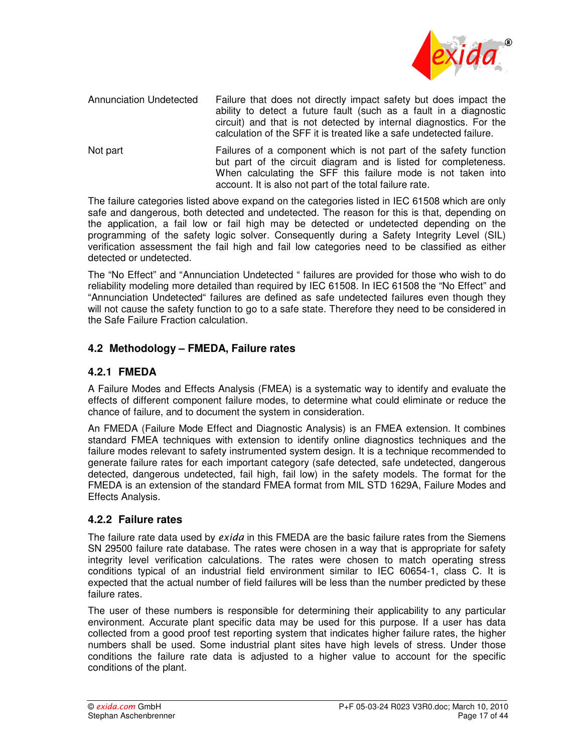

Annunciation Undetected Failure that does not directly impact safety but does impact the ability to detect a future fault (such as a fault in a diagnostic circuit) and that is not detected by internal diagnostics. For the calculation of the SFF it is treated like a safe undetected failure.

Not part **Failures of a component which is not part of the safety function** but part of the circuit diagram and is listed for completeness. When calculating the SFF this failure mode is not taken into account. It is also not part of the total failure rate.

The failure categories listed above expand on the categories listed in IEC 61508 which are only safe and dangerous, both detected and undetected. The reason for this is that, depending on the application, a fail low or fail high may be detected or undetected depending on the programming of the safety logic solver. Consequently during a Safety Integrity Level (SIL) verification assessment the fail high and fail low categories need to be classified as either detected or undetected.

The "No Effect" and "Annunciation Undetected " failures are provided for those who wish to do reliability modeling more detailed than required by IEC 61508. In IEC 61508 the "No Effect" and "Annunciation Undetected" failures are defined as safe undetected failures even though they will not cause the safety function to go to a safe state. Therefore they need to be considered in the Safe Failure Fraction calculation.

## **4.2 Methodology – FMEDA, Failure rates**

## **4.2.1 FMEDA**

A Failure Modes and Effects Analysis (FMEA) is a systematic way to identify and evaluate the effects of different component failure modes, to determine what could eliminate or reduce the chance of failure, and to document the system in consideration.

An FMEDA (Failure Mode Effect and Diagnostic Analysis) is an FMEA extension. It combines standard FMEA techniques with extension to identify online diagnostics techniques and the failure modes relevant to safety instrumented system design. It is a technique recommended to generate failure rates for each important category (safe detected, safe undetected, dangerous detected, dangerous undetected, fail high, fail low) in the safety models. The format for the FMEDA is an extension of the standard FMEA format from MIL STD 1629A, Failure Modes and Effects Analysis.

### **4.2.2 Failure rates**

The failure rate data used by *exida* in this FMEDA are the basic failure rates from the Siemens SN 29500 failure rate database. The rates were chosen in a way that is appropriate for safety integrity level verification calculations. The rates were chosen to match operating stress conditions typical of an industrial field environment similar to IEC 60654-1, class C. It is expected that the actual number of field failures will be less than the number predicted by these failure rates.

The user of these numbers is responsible for determining their applicability to any particular environment. Accurate plant specific data may be used for this purpose. If a user has data collected from a good proof test reporting system that indicates higher failure rates, the higher numbers shall be used. Some industrial plant sites have high levels of stress. Under those conditions the failure rate data is adjusted to a higher value to account for the specific conditions of the plant.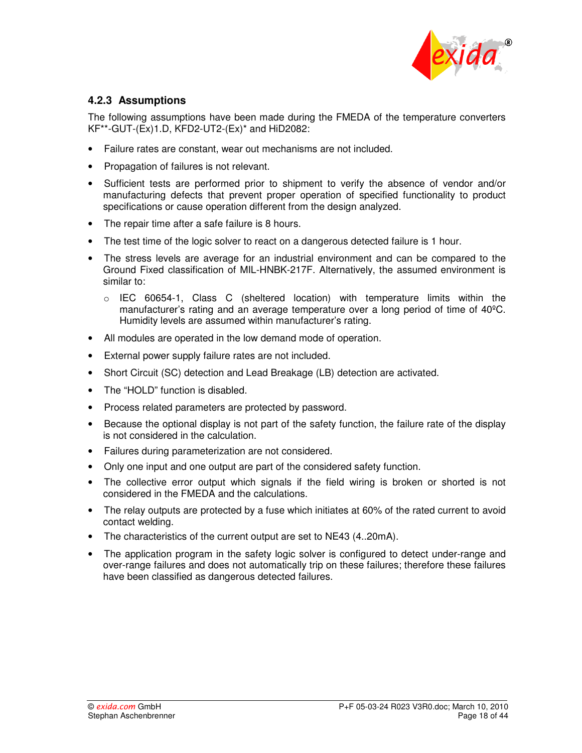

## **4.2.3 Assumptions**

The following assumptions have been made during the FMEDA of the temperature converters KF\*\*-GUT-(Ex)1.D, KFD2-UT2-(Ex)\* and HiD2082:

- Failure rates are constant, wear out mechanisms are not included.
- Propagation of failures is not relevant.
- Sufficient tests are performed prior to shipment to verify the absence of vendor and/or manufacturing defects that prevent proper operation of specified functionality to product specifications or cause operation different from the design analyzed.
- The repair time after a safe failure is 8 hours.
- The test time of the logic solver to react on a dangerous detected failure is 1 hour.
- The stress levels are average for an industrial environment and can be compared to the Ground Fixed classification of MIL-HNBK-217F. Alternatively, the assumed environment is similar to:
	- o IEC 60654-1, Class C (sheltered location) with temperature limits within the manufacturer's rating and an average temperature over a long period of time of 40ºC. Humidity levels are assumed within manufacturer's rating.
- All modules are operated in the low demand mode of operation.
- External power supply failure rates are not included.
- Short Circuit (SC) detection and Lead Breakage (LB) detection are activated.
- The "HOLD" function is disabled.
- Process related parameters are protected by password.
- Because the optional display is not part of the safety function, the failure rate of the display is not considered in the calculation.
- Failures during parameterization are not considered.
- Only one input and one output are part of the considered safety function.
- The collective error output which signals if the field wiring is broken or shorted is not considered in the FMEDA and the calculations.
- The relay outputs are protected by a fuse which initiates at 60% of the rated current to avoid contact welding.
- The characteristics of the current output are set to NE43 (4..20mA).
- The application program in the safety logic solver is configured to detect under-range and over-range failures and does not automatically trip on these failures; therefore these failures have been classified as dangerous detected failures.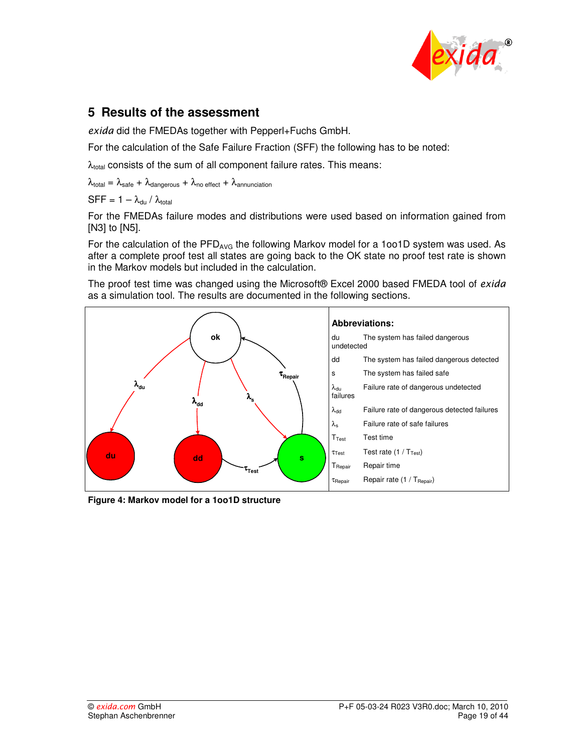

## **5 Results of the assessment**

*exida* did the FMEDAs together with Pepperl+Fuchs GmbH.

For the calculation of the Safe Failure Fraction (SFF) the following has to be noted:

 $\lambda_{\text{total}}$  consists of the sum of all component failure rates. This means:

 $\lambda_{\text{total}} = \lambda_{\text{safe}} + \lambda_{\text{dangerous}} + \lambda_{\text{no effect}} + \lambda_{\text{annunciation}}$ 

#### $SFF = 1 - \lambda_{\text{du}} / \lambda_{\text{total}}$

For the FMEDAs failure modes and distributions were used based on information gained from [N3] to [N5].

For the calculation of the PFD<sub>AVG</sub> the following Markov model for a 1oo1D system was used. As after a complete proof test all states are going back to the OK state no proof test rate is shown in the Markov models but included in the calculation.

The proof test time was changed using the Microsoft® Excel 2000 based FMEDA tool of *exida* as a simulation tool. The results are documented in the following sections.



**Figure 4: Markov model for a 1oo1D structure**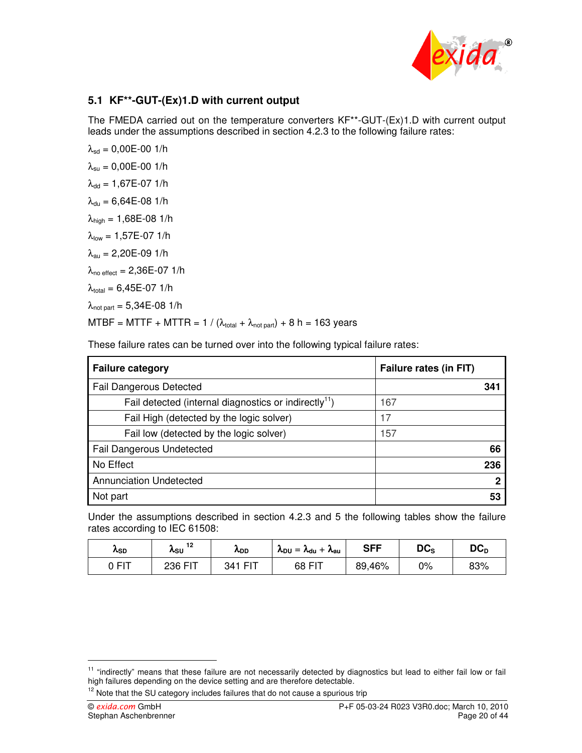

## **5.1 KF\*\*-GUT-(Ex)1.D with current output**

The FMEDA carried out on the temperature converters KF\*\*-GUT-(Ex)1.D with current output leads under the assumptions described in section 4.2.3 to the following failure rates:

 $\lambda_{sd} = 0,00E-00$  1/h  $\lambda_{\text{su}} = 0,00E - 001/h$  $\lambda_{dd} = 1,67E-07$  1/h  $λ_{du} = 6,64E-08$  1/h  $λ_{\text{hiah}} = 1,68E-08$  1/h  $λ_{low} = 1,57E-071/h$  $λ_{\text{au}} = 2,20E-09$  1/h  $\lambda_{\text{no effect}} = 2,36E-07$  1/h  $λ$ <sub>total</sub> = 6,45E-07 1/h  $\lambda_{\text{not part}} = 5,34E-08$  1/h MTBF = MTTF + MTTR = 1 /  $(\lambda_{total} + \lambda_{not part})$  + 8 h = 163 years

These failure rates can be turned over into the following typical failure rates:

| <b>Failure category</b>                                           | Failure rates (in FIT) |
|-------------------------------------------------------------------|------------------------|
| <b>Fail Dangerous Detected</b>                                    | 341                    |
| Fail detected (internal diagnostics or indirectly <sup>11</sup> ) | 167                    |
| Fail High (detected by the logic solver)                          | 17                     |
| Fail low (detected by the logic solver)                           | 157                    |
| <b>Fail Dangerous Undetected</b>                                  | 66                     |
| No Effect                                                         | 236                    |
| <b>Annunciation Undetected</b>                                    | ŋ                      |
| Not part                                                          | 53                     |

Under the assumptions described in section 4.2.3 and 5 the following tables show the failure rates according to IEC 61508:

| <b>ASD</b> | 12<br><b>ASU</b> | <b>ADD</b>  | $\Lambda_{\text{DU}} = \Lambda_{\text{du}} + \Lambda_{\text{au}}$ | <b>SFF</b> | DC <sub>s</sub> | $DC_D$ |
|------------|------------------|-------------|-------------------------------------------------------------------|------------|-----------------|--------|
| 0 FIT      | 236 FIT          | . 티프<br>341 | 68 FIT                                                            | 89,46%     | 0%              | 83%    |

<sup>&</sup>lt;sup>11</sup> "indirectly" means that these failure are not necessarily detected by diagnostics but lead to either fail low or fail high failures depending on the device setting and are therefore detectable.

 $12$  Note that the SU category includes failures that do not cause a spurious trip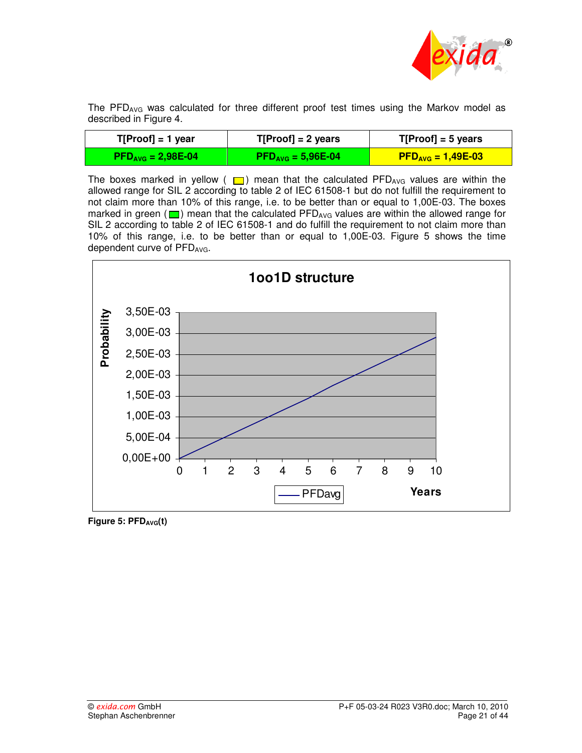

The PFD<sub>AVG</sub> was calculated for three different proof test times using the Markov model as described in Figure 4.

| $T[Proof] = 1$ year                                    | $T[Proof] = 2 \text{ years}$ | $T[Proof] = 5$ years             |
|--------------------------------------------------------|------------------------------|----------------------------------|
| $\mathsf{PFD}_{\text{AVG}} = 2,98\mathsf{E}\text{-}04$ | $PFD_{AVG} = 5,96E-04$       | $\overline{PP_{AVG}} = 1,49E-03$ |

The boxes marked in yellow ( $\Box$ ) mean that the calculated PFD<sub>AVG</sub> values are within the allowed range for SIL 2 according to table 2 of IEC 61508-1 but do not fulfill the requirement to not claim more than 10% of this range, i.e. to be better than or equal to 1,00E-03. The boxes marked in green ( $\Box$ ) mean that the calculated PFD<sub>AVG</sub> values are within the allowed range for SIL 2 according to table 2 of IEC 61508-1 and do fulfill the requirement to not claim more than 10% of this range, i.e. to be better than or equal to 1,00E-03. Figure 5 shows the time dependent curve of PFD<sub>AVG</sub>.



**Figure 5: PFD<sub>AVG</sub>(t)**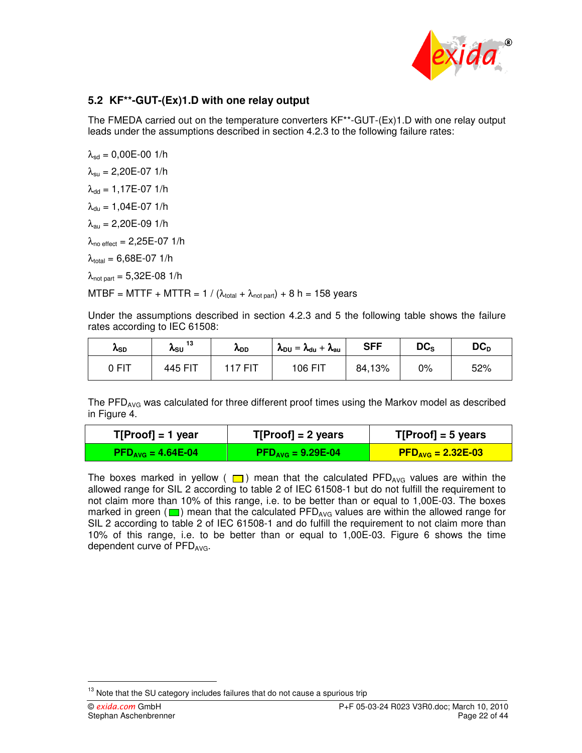

## **5.2 KF\*\*-GUT-(Ex)1.D with one relay output**

The FMEDA carried out on the temperature converters KF\*\*-GUT-(Ex)1.D with one relay output leads under the assumptions described in section 4.2.3 to the following failure rates:

 $λ_{sd} = 0.00E-00 1/h$  $\lambda_{su} = 2,20E-07$  1/h  $\lambda_{dd} = 1,17E-07$  1/h  $λ_{du} = 1.04E-07$  1/h  $\lambda_{\text{au}} = 2,20E - 09$  1/h  $\lambda_{\text{no effect}} = 2,25E-07$  1/h  $\lambda_{\text{total}} = 6,68E-07$  1/h

 $\lambda_{\text{not part}} = 5,32E-08$  1/h

MTBF = MTTF + MTTR = 1 /  $(\lambda_{total} + \lambda_{not part})$  + 8 h = 158 years

Under the assumptions described in section 4.2.3 and 5 the following table shows the failure rates according to IEC 61508:

| <b>A<sub>SD</sub></b> | 13<br><b>ASU</b> | <b>ADD</b> | $\Lambda_{\rm DU} = \Lambda_{\rm du} + \Lambda_{\rm au}$ | <b>SFF</b> | $DC_{S}$ | $DC_D$ |
|-----------------------|------------------|------------|----------------------------------------------------------|------------|----------|--------|
| 0 FIT                 | 445 FIT          | $.17$ FIT  | <b>106 FIT</b>                                           | 84,13%     | 0%       | 52%    |

The  $PFD_{AVG}$  was calculated for three different proof times using the Markov model as described in Figure 4.

| $T[Proof] = 1$ year    | $T[Proof] = 2 \text{ years}$ | $T[Proof] = 5$ years             |
|------------------------|------------------------------|----------------------------------|
| $PFD_{AVG} = 4.64E-04$ | $PFD_{AVG} = 9.29E-04$       | $\overline{PP_{AVG}}$ = 2.32E-03 |

The boxes marked in yellow ( $\Box$ ) mean that the calculated PFD<sub>AVG</sub> values are within the allowed range for SIL 2 according to table 2 of IEC 61508-1 but do not fulfill the requirement to not claim more than 10% of this range, i.e. to be better than or equal to 1,00E-03. The boxes marked in green ( $\Box$ ) mean that the calculated PFD<sub>AVG</sub> values are within the allowed range for SIL 2 according to table 2 of IEC 61508-1 and do fulfill the requirement to not claim more than 10% of this range, i.e. to be better than or equal to 1,00E-03. Figure 6 shows the time dependent curve of PFD<sub>AVG</sub>.

 $13$  Note that the SU category includes failures that do not cause a spurious trip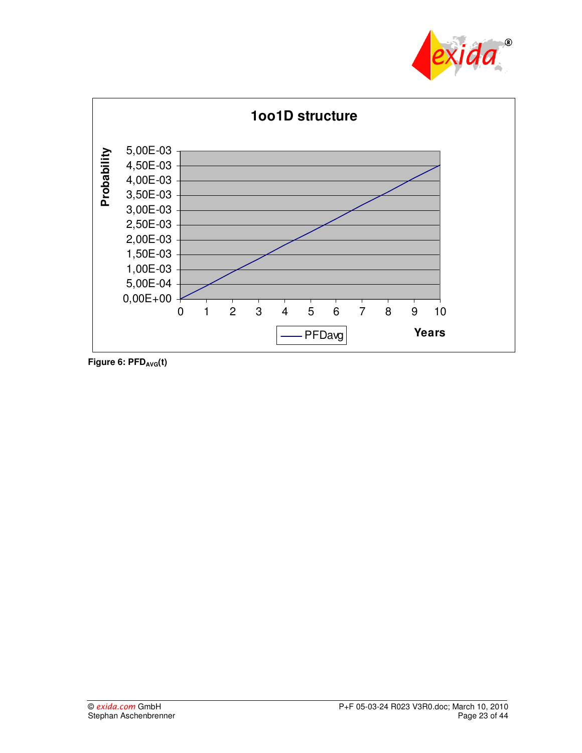



**Figure 6: PFD<sub>AVG</sub>(t)**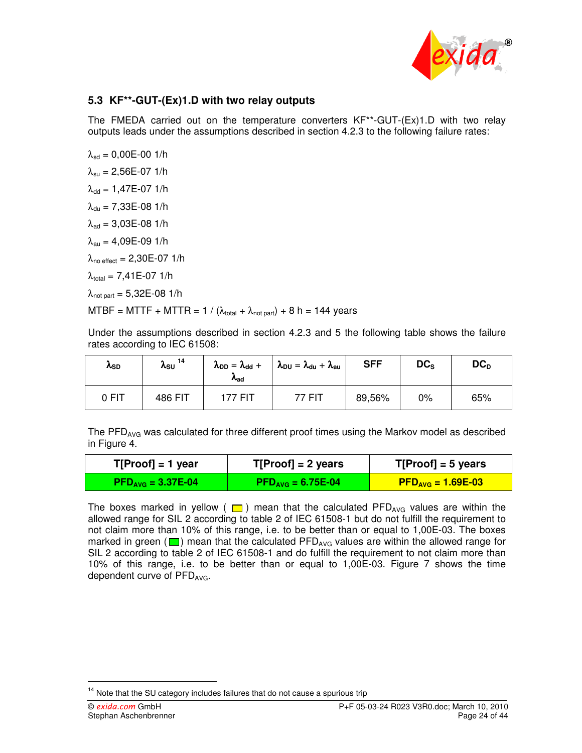

## **5.3 KF\*\*-GUT-(Ex)1.D with two relay outputs**

The FMEDA carried out on the temperature converters KF\*\*-GUT-(Ex)1.D with two relay outputs leads under the assumptions described in section 4.2.3 to the following failure rates:

 $λ_{sd} = 0.00E-00 1/h$  $\lambda_{su} = 2,56E-07$  1/h  $\lambda_{dd} = 1,47E-07$  1/h  $λ_{d<sub>U</sub>} = 7,33E-08$  1/h  $\lambda_{\text{ad}} = 3,03E - 08$  1/h  $λ_{au} = 4,09E-09$  1/h  $\lambda_{\text{no effect}} = 2,30E-07$  1/h  $λ_{total} = 7,41E-07$  1/h  $\lambda_{\text{not part}} = 5,32E-08$  1/h MTBF = MTTF + MTTR = 1 /  $(\lambda_{total} + \lambda_{not part})$  + 8 h = 144 years

Under the assumptions described in section 4.2.3 and 5 the following table shows the failure rates according to IEC 61508:

| $\lambda_{\text{SD}}$ | 14<br><b>ASU</b> | $\lambda_{DD} = \lambda_{dd} +$<br>$\lambda_{\rm ad}$ | $\lambda_{\rm DU} = \lambda_{\rm du} + \lambda_{\rm au}$ | <b>SFF</b> | $DC_{S}$ | $DC_D$ |
|-----------------------|------------------|-------------------------------------------------------|----------------------------------------------------------|------------|----------|--------|
| 0 FIT                 | 486 FIT          | 177 FI1                                               | 77 FI1                                                   | 89,56%     | 0%       | 65%    |

The PFD<sub>AVG</sub> was calculated for three different proof times using the Markov model as described in Figure 4.

| $T[Proof] = 1$ year    | $T[Proof] = 2 \text{ years}$ | $T[Proof] = 5$ years             |
|------------------------|------------------------------|----------------------------------|
| $PFD_{AVG} = 3.37E-04$ | $PFD_{AVG} = 6.75E-04$       | $\overline{PP_{AVG}}$ = 1.69E-03 |

The boxes marked in yellow ( $\Box$ ) mean that the calculated PFD<sub>AVG</sub> values are within the allowed range for SIL 2 according to table 2 of IEC 61508-1 but do not fulfill the requirement to not claim more than 10% of this range, i.e. to be better than or equal to 1,00E-03. The boxes marked in green ( $\Box$ ) mean that the calculated PFD<sub>AVG</sub> values are within the allowed range for SIL 2 according to table 2 of IEC 61508-1 and do fulfill the requirement to not claim more than 10% of this range, i.e. to be better than or equal to 1,00E-03. Figure 7 shows the time dependent curve of PFD<sub>AVG</sub>.

 $14$  Note that the SU category includes failures that do not cause a spurious trip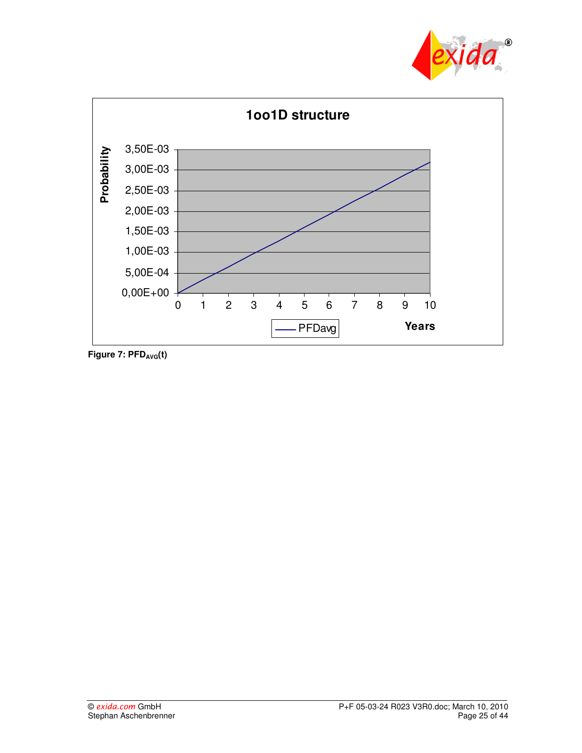



 $Figure 7: PFD<sub>AVG</sub>(t)$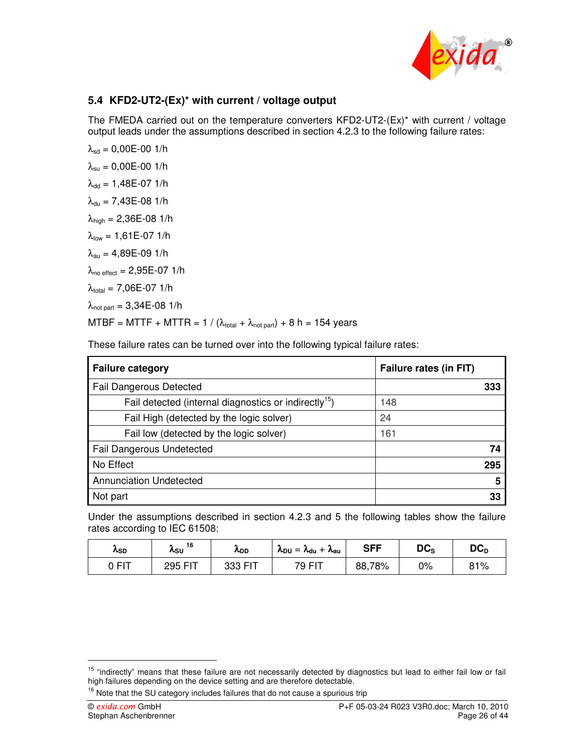

## **5.4 KFD2-UT2-(Ex)\* with current / voltage output**

The FMEDA carried out on the temperature converters KFD2-UT2-(Ex)\* with current / voltage output leads under the assumptions described in section 4.2.3 to the following failure rates:

 $\lambda_{sd} = 0,00E-001/h$  $\lambda_{\text{su}} = 0,00E - 001/h$  $λ_{dd} = 1,48E-07$  1/h  $\lambda_{du} = 7,43E-08$  1/h  $λ_{\text{hich}} = 2,36E-08$  1/h  $λ_{low} = 1,61E-071/h$  $λ_{\text{au}} = 4,89E-09$  1/h  $\lambda_{\text{no effect}} = 2,95E-07$  1/h  $λ_{total} = 7,06E-07$  1/h  $\lambda_{\text{not part}} = 3,34E-08$  1/h MTBF = MTTF + MTTR = 1 /  $(\lambda_{total} + \lambda_{not part})$  + 8 h = 154 years

These failure rates can be turned over into the following typical failure rates:

| <b>Failure category</b>                                           | Failure rates (in FIT) |
|-------------------------------------------------------------------|------------------------|
| <b>Fail Dangerous Detected</b>                                    | 333                    |
| Fail detected (internal diagnostics or indirectly <sup>15</sup> ) | 148                    |
| Fail High (detected by the logic solver)                          | 24                     |
| Fail low (detected by the logic solver)                           | 161                    |
| <b>Fail Dangerous Undetected</b>                                  | 74                     |
| No Effect                                                         | 295                    |
| <b>Annunciation Undetected</b>                                    | 5                      |
| Not part                                                          |                        |

Under the assumptions described in section 4.2.3 and 5 the following tables show the failure rates according to IEC 61508:

| <b>ASD</b> | 16<br><b>ASU</b> | <b>ADD</b> | $\Lambda_{\text{DU}} = \Lambda_{\text{du}} + \Lambda_{\text{au}}$ | <b>SFF</b> | DC <sub>s</sub> | $DC_D$ |
|------------|------------------|------------|-------------------------------------------------------------------|------------|-----------------|--------|
| 0 FIT      | 295 FIT          | 333 $Fr$   | <b>79 FIT</b>                                                     | 88,78%     | 0%              | 81%    |

<sup>&</sup>lt;sup>15</sup> "indirectly" means that these failure are not necessarily detected by diagnostics but lead to either fail low or fail high failures depending on the device setting and are therefore detectable.

 $16$  Note that the SU category includes failures that do not cause a spurious trip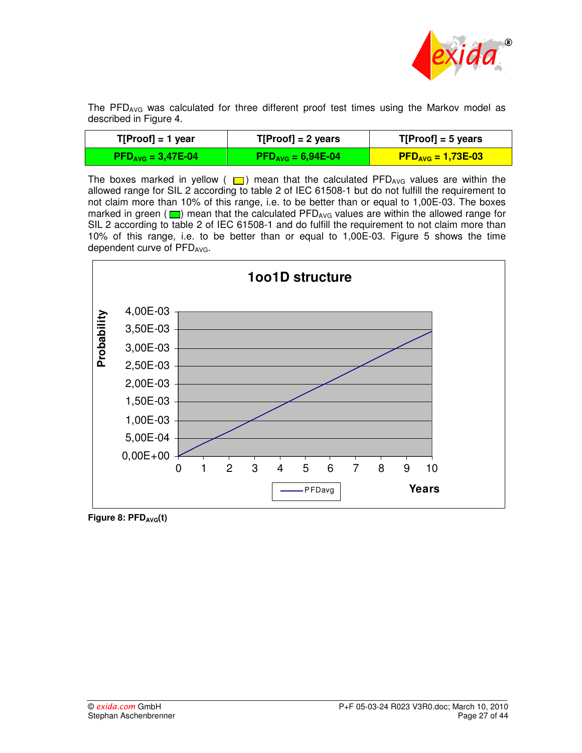

The PFD<sub>AVG</sub> was calculated for three different proof test times using the Markov model as described in Figure 4.

| $T[Proof] = 1$ year    | $T[Proof] = 2 \text{ years}$ | $T[Proof] = 5$ years             |
|------------------------|------------------------------|----------------------------------|
| $PFD_{AVG} = 3,47E-04$ | $PFD_{AVG} = 6,94E-04$       | $\overline{PP_{AVG}}$ = 1,73E-03 |

The boxes marked in yellow ( $\Box$ ) mean that the calculated PFD<sub>AVG</sub> values are within the allowed range for SIL 2 according to table 2 of IEC 61508-1 but do not fulfill the requirement to not claim more than 10% of this range, i.e. to be better than or equal to 1,00E-03. The boxes marked in green ( $\Box$ ) mean that the calculated PFD<sub>AVG</sub> values are within the allowed range for SIL 2 according to table 2 of IEC 61508-1 and do fulfill the requirement to not claim more than 10% of this range, i.e. to be better than or equal to 1,00E-03. Figure 5 shows the time dependent curve of PFD<sub>AVG</sub>.



**Figure 8: PFD**<sub>AVG</sub>(t)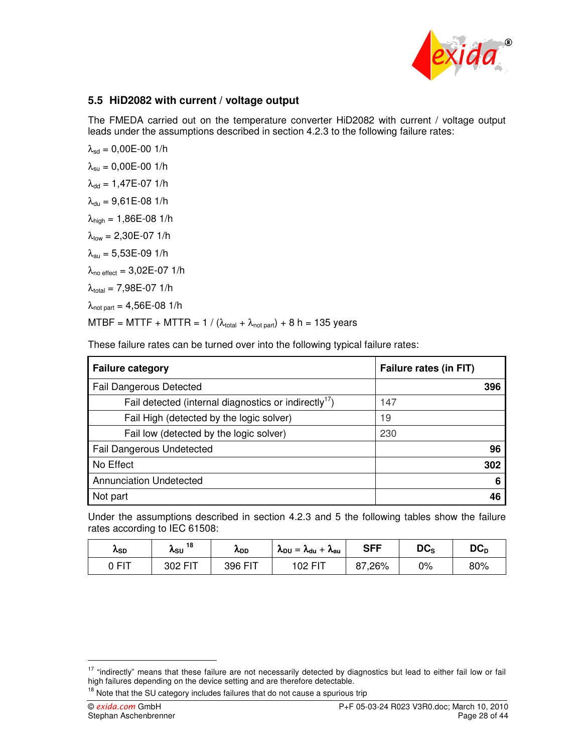

#### **5.5 HiD2082 with current / voltage output**

The FMEDA carried out on the temperature converter HiD2082 with current / voltage output leads under the assumptions described in section 4.2.3 to the following failure rates:

 $\lambda_{sd} = 0,00E-001/h$  $\lambda_{\text{su}} = 0,00E - 001/h$  $λ_{dd} = 1,47E-07$  1/h  $\lambda_{du} = 9{,}61E{-}08$  1/h  $λ_{\text{hiah}} = 1,86E-08$  1/h  $λ_{low} = 2,30E-07$  1/h  $λ_{\text{au}} = 5,53E-09$  1/h  $\lambda_{\text{no effect}} = 3,02E - 07$  1/h  $λ$ <sub>total</sub> = 7,98E-07 1/h  $\lambda_{\text{not part}} = 4,56E-08$  1/h MTBF = MTTF + MTTR = 1 /  $(\lambda_{total} + \lambda_{not part})$  + 8 h = 135 years

These failure rates can be turned over into the following typical failure rates:

| <b>Failure category</b>                                           | Failure rates (in FIT) |
|-------------------------------------------------------------------|------------------------|
| <b>Fail Dangerous Detected</b>                                    | 396                    |
| Fail detected (internal diagnostics or indirectly <sup>17</sup> ) | 147                    |
| Fail High (detected by the logic solver)                          | 19                     |
| Fail low (detected by the logic solver)                           | 230                    |
| <b>Fail Dangerous Undetected</b>                                  | 96                     |
| No Effect                                                         | 302                    |
| <b>Annunciation Undetected</b>                                    | 6                      |
| Not part                                                          |                        |

Under the assumptions described in section 4.2.3 and 5 the following tables show the failure rates according to IEC 61508:

| <b>ASD</b> | 18<br><b>ASU</b> | <b>ADD</b> | $\Lambda_{\text{DU}} = \Lambda_{\text{du}} + \Lambda_{\text{au}}$ | <b>SFF</b> | DC <sub>s</sub> | $DC_D$ |
|------------|------------------|------------|-------------------------------------------------------------------|------------|-----------------|--------|
| 0 FIT      | 302 FIT          | 396 FIT    | $102 F^{17}$                                                      | 87,26%     | 0%              | 80%    |

<sup>&</sup>lt;sup>17</sup> "indirectly" means that these failure are not necessarily detected by diagnostics but lead to either fail low or fail high failures depending on the device setting and are therefore detectable.

 $18$  Note that the SU category includes failures that do not cause a spurious trip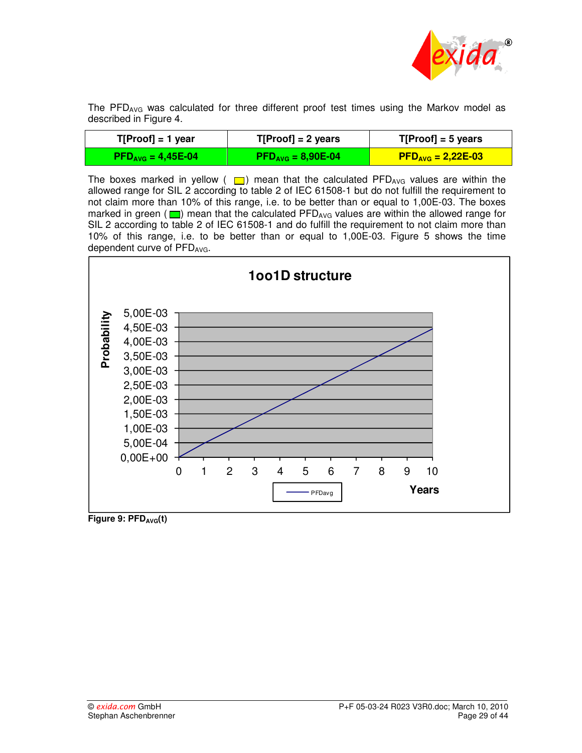

The PFD<sub>AVG</sub> was calculated for three different proof test times using the Markov model as described in Figure 4.

| $T[Proof] = 1$ year                    | $T[Proof] = 2 \text{ years}$           | $T[Proof] = 5$ years             |
|----------------------------------------|----------------------------------------|----------------------------------|
| $\text{PFD}_{\text{AVG}} = 4,45E - 04$ | $\mathsf{PFD}_{\text{AVG}} = 8,90E-04$ | $\overline{PP_{AVG}} = 2,22E-03$ |

The boxes marked in yellow ( $\Box$ ) mean that the calculated PFD<sub>AVG</sub> values are within the allowed range for SIL 2 according to table 2 of IEC 61508-1 but do not fulfill the requirement to not claim more than 10% of this range, i.e. to be better than or equal to 1,00E-03. The boxes marked in green ( $\Box$ ) mean that the calculated PFD<sub>AVG</sub> values are within the allowed range for SIL 2 according to table 2 of IEC 61508-1 and do fulfill the requirement to not claim more than 10% of this range, i.e. to be better than or equal to 1,00E-03. Figure 5 shows the time dependent curve of PFD<sub>AVG</sub>.



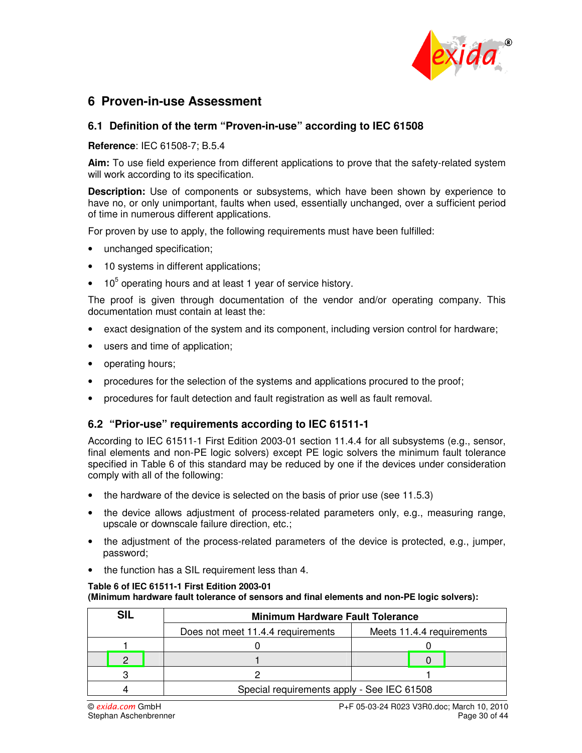

## **6 Proven-in-use Assessment**

### **6.1 Definition of the term "Proven-in-use" according to IEC 61508**

**Reference**: IEC 61508-7; B.5.4

**Aim:** To use field experience from different applications to prove that the safety-related system will work according to its specification.

**Description:** Use of components or subsystems, which have been shown by experience to have no, or only unimportant, faults when used, essentially unchanged, over a sufficient period of time in numerous different applications.

For proven by use to apply, the following requirements must have been fulfilled:

- unchanged specification;
- 10 systems in different applications;
- $\bullet$  10<sup>5</sup> operating hours and at least 1 year of service history.

The proof is given through documentation of the vendor and/or operating company. This documentation must contain at least the:

- exact designation of the system and its component, including version control for hardware;
- users and time of application;
- operating hours;
- procedures for the selection of the systems and applications procured to the proof;
- procedures for fault detection and fault registration as well as fault removal.

#### **6.2 "Prior-use" requirements according to IEC 61511-1**

According to IEC 61511-1 First Edition 2003-01 section 11.4.4 for all subsystems (e.g., sensor, final elements and non-PE logic solvers) except PE logic solvers the minimum fault tolerance specified in Table 6 of this standard may be reduced by one if the devices under consideration comply with all of the following:

- the hardware of the device is selected on the basis of prior use (see 11.5.3)
- the device allows adjustment of process-related parameters only, e.g., measuring range, upscale or downscale failure direction, etc.;
- the adjustment of the process-related parameters of the device is protected, e.g., jumper, password;
- the function has a SIL requirement less than 4.

## **Table 6 of IEC 61511-1 First Edition 2003-01**

**(Minimum hardware fault tolerance of sensors and final elements and non-PE logic solvers):** 

| <b>SIL</b>                        |  |  | <b>Minimum Hardware Fault Tolerance</b>    |  |  |                           |
|-----------------------------------|--|--|--------------------------------------------|--|--|---------------------------|
| Does not meet 11.4.4 requirements |  |  |                                            |  |  | Meets 11.4.4 requirements |
|                                   |  |  |                                            |  |  |                           |
|                                   |  |  |                                            |  |  |                           |
|                                   |  |  |                                            |  |  |                           |
|                                   |  |  | Special requirements apply - See IEC 61508 |  |  |                           |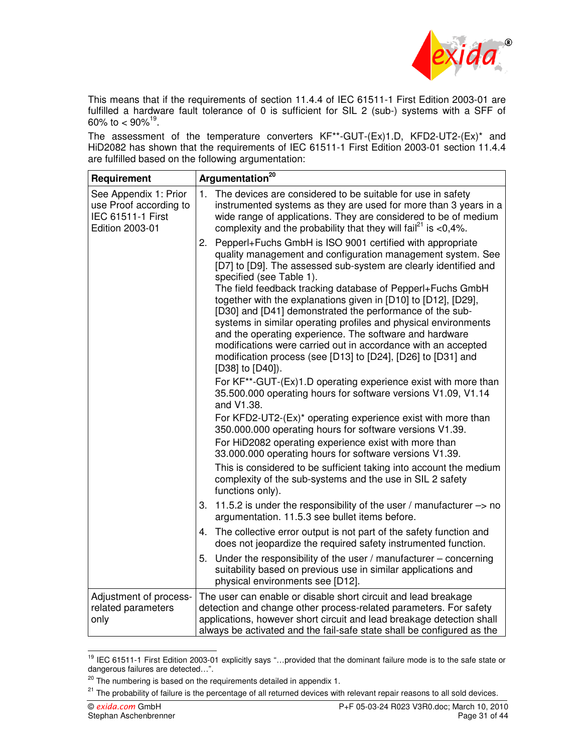

This means that if the requirements of section 11.4.4 of IEC 61511-1 First Edition 2003-01 are fulfilled a hardware fault tolerance of 0 is sufficient for SIL 2 (sub-) systems with a SFF of 60% to  $<$  90% $^{19}$ .

The assessment of the temperature converters KF\*\*-GUT-(Ex)1.D, KFD2-UT2-(Ex)\* and HiD2082 has shown that the requirements of IEC 61511-1 First Edition 2003-01 section 11.4.4 are fulfilled based on the following argumentation:

| Requirement                                                                                    | Argumentation <sup>20</sup>                                                                                                                                                                                                                                                                                                                                                                                                                                                                                                                                                                                                                                                                                                                                                                                                                                                                                                                                                                                                                                                                                                                                                                                                                                        |
|------------------------------------------------------------------------------------------------|--------------------------------------------------------------------------------------------------------------------------------------------------------------------------------------------------------------------------------------------------------------------------------------------------------------------------------------------------------------------------------------------------------------------------------------------------------------------------------------------------------------------------------------------------------------------------------------------------------------------------------------------------------------------------------------------------------------------------------------------------------------------------------------------------------------------------------------------------------------------------------------------------------------------------------------------------------------------------------------------------------------------------------------------------------------------------------------------------------------------------------------------------------------------------------------------------------------------------------------------------------------------|
| See Appendix 1: Prior<br>use Proof according to<br>IEC 61511-1 First<br><b>Edition 2003-01</b> | The devices are considered to be suitable for use in safety<br>1.<br>instrumented systems as they are used for more than 3 years in a<br>wide range of applications. They are considered to be of medium<br>complexity and the probability that they will fail <sup>21</sup> is <0,4%.                                                                                                                                                                                                                                                                                                                                                                                                                                                                                                                                                                                                                                                                                                                                                                                                                                                                                                                                                                             |
|                                                                                                | 2. Pepperl+Fuchs GmbH is ISO 9001 certified with appropriate<br>quality management and configuration management system. See<br>[D7] to [D9]. The assessed sub-system are clearly identified and<br>specified (see Table 1).<br>The field feedback tracking database of Pepperl+Fuchs GmbH<br>together with the explanations given in [D10] to [D12], [D29],<br>[D30] and [D41] demonstrated the performance of the sub-<br>systems in similar operating profiles and physical environments<br>and the operating experience. The software and hardware<br>modifications were carried out in accordance with an accepted<br>modification process (see [D13] to [D24], [D26] to [D31] and<br>[D38] to [D40]).<br>For KF**-GUT-(Ex)1.D operating experience exist with more than<br>35.500.000 operating hours for software versions V1.09, V1.14<br>and V1.38.<br>For KFD2-UT2-(Ex)* operating experience exist with more than<br>350.000.000 operating hours for software versions V1.39.<br>For HiD2082 operating experience exist with more than<br>33.000.000 operating hours for software versions V1.39.<br>This is considered to be sufficient taking into account the medium<br>complexity of the sub-systems and the use in SIL 2 safety<br>functions only). |
|                                                                                                | 3.<br>11.5.2 is under the responsibility of the user / manufacturer $\rightarrow$ no<br>argumentation. 11.5.3 see bullet items before.                                                                                                                                                                                                                                                                                                                                                                                                                                                                                                                                                                                                                                                                                                                                                                                                                                                                                                                                                                                                                                                                                                                             |
|                                                                                                | 4. The collective error output is not part of the safety function and<br>does not jeopardize the required safety instrumented function.                                                                                                                                                                                                                                                                                                                                                                                                                                                                                                                                                                                                                                                                                                                                                                                                                                                                                                                                                                                                                                                                                                                            |
|                                                                                                | 5. Under the responsibility of the user / manufacturer – concerning<br>suitability based on previous use in similar applications and<br>physical environments see [D12].                                                                                                                                                                                                                                                                                                                                                                                                                                                                                                                                                                                                                                                                                                                                                                                                                                                                                                                                                                                                                                                                                           |
| Adjustment of process-<br>related parameters<br>only                                           | The user can enable or disable short circuit and lead breakage<br>detection and change other process-related parameters. For safety<br>applications, however short circuit and lead breakage detection shall<br>always be activated and the fail-safe state shall be configured as the                                                                                                                                                                                                                                                                                                                                                                                                                                                                                                                                                                                                                                                                                                                                                                                                                                                                                                                                                                             |

 $\overline{\phantom{a}}$ <sup>19</sup> IEC 61511-1 First Edition 2003-01 explicitly says "...provided that the dominant failure mode is to the safe state or dangerous failures are detected…".

 $20$  The numbering is based on the requirements detailed in appendix 1.

 $21$  The probability of failure is the percentage of all returned devices with relevant repair reasons to all sold devices.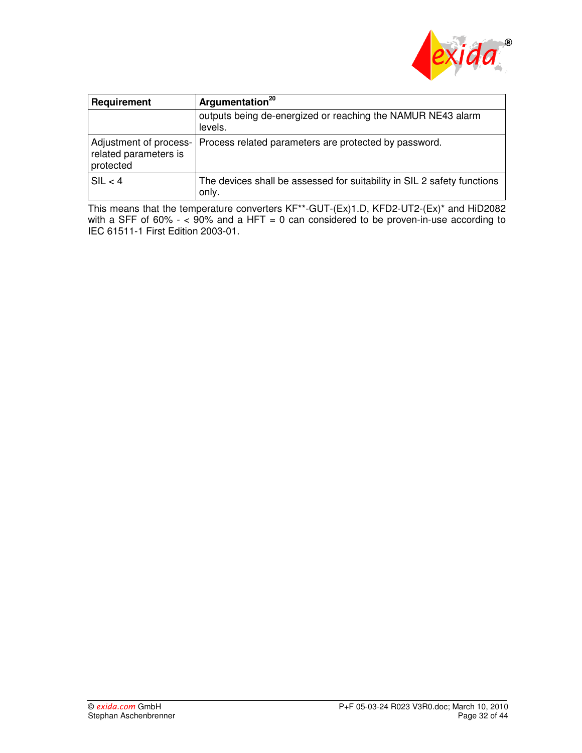

| Requirement                        | Argumentation <sup>20</sup>                                                      |
|------------------------------------|----------------------------------------------------------------------------------|
|                                    | outputs being de-energized or reaching the NAMUR NE43 alarm<br>levels.           |
| related parameters is<br>protected | Adjustment of process-   Process related parameters are protected by password.   |
| SIL < 4                            | The devices shall be assessed for suitability in SIL 2 safety functions<br>only. |

This means that the temperature converters KF\*\*-GUT-(Ex)1.D, KFD2-UT2-(Ex)\* and HiD2082 with a SFF of 60% -  $<$  90% and a HFT = 0 can considered to be proven-in-use according to IEC 61511-1 First Edition 2003-01.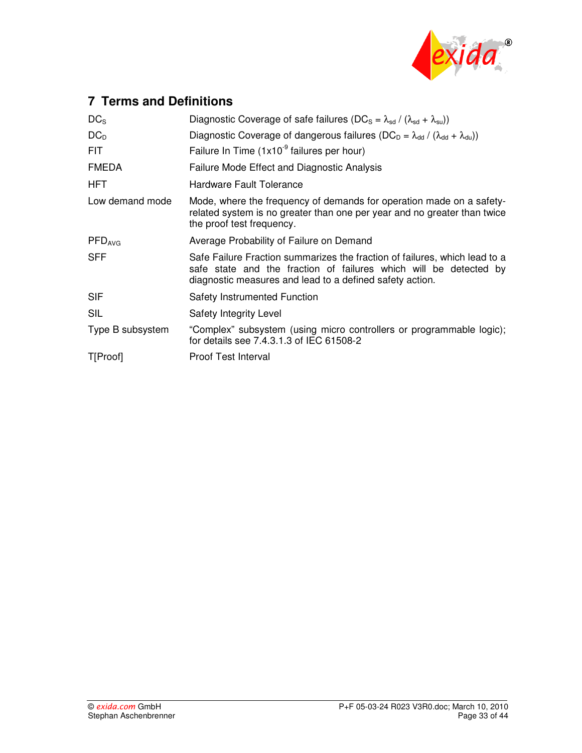

## **7 Terms and Definitions**

| DC <sub>S</sub>    | Diagnostic Coverage of safe failures (DC <sub>S</sub> = $\lambda_{sd}$ / ( $\lambda_{sd}$ + $\lambda_{su}$ ))                                                                                               |
|--------------------|-------------------------------------------------------------------------------------------------------------------------------------------------------------------------------------------------------------|
| DC <sub>D</sub>    | Diagnostic Coverage of dangerous failures (DC <sub>D</sub> = $\lambda_{dd}$ / ( $\lambda_{dd}$ + $\lambda_{du}$ ))                                                                                          |
| <b>FIT</b>         | Failure In Time $(1x10-9)$ failures per hour)                                                                                                                                                               |
| <b>FMEDA</b>       | Failure Mode Effect and Diagnostic Analysis                                                                                                                                                                 |
| <b>HFT</b>         | Hardware Fault Tolerance                                                                                                                                                                                    |
| Low demand mode    | Mode, where the frequency of demands for operation made on a safety-<br>related system is no greater than one per year and no greater than twice<br>the proof test frequency.                               |
| PFD <sub>AVG</sub> | Average Probability of Failure on Demand                                                                                                                                                                    |
| <b>SFF</b>         | Safe Failure Fraction summarizes the fraction of failures, which lead to a<br>safe state and the fraction of failures which will be detected by<br>diagnostic measures and lead to a defined safety action. |
| <b>SIF</b>         | Safety Instrumented Function                                                                                                                                                                                |
| SIL                | Safety Integrity Level                                                                                                                                                                                      |
| Type B subsystem   | "Complex" subsystem (using micro controllers or programmable logic);<br>for details see 7.4.3.1.3 of IEC 61508-2                                                                                            |
| <b>T</b> [Proof]   | <b>Proof Test Interval</b>                                                                                                                                                                                  |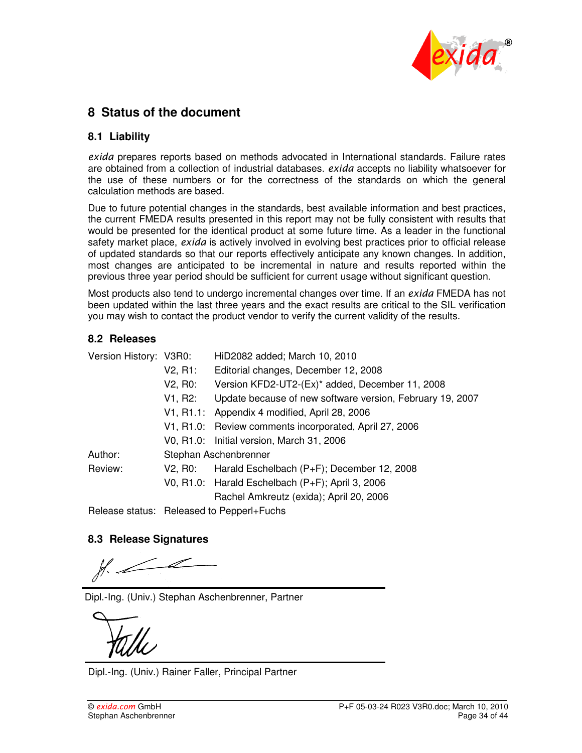

## **8 Status of the document**

### **8.1 Liability**

*exida* prepares reports based on methods advocated in International standards. Failure rates are obtained from a collection of industrial databases. *exida* accepts no liability whatsoever for the use of these numbers or for the correctness of the standards on which the general calculation methods are based.

Due to future potential changes in the standards, best available information and best practices, the current FMEDA results presented in this report may not be fully consistent with results that would be presented for the identical product at some future time. As a leader in the functional safety market place, *exida* is actively involved in evolving best practices prior to official release of updated standards so that our reports effectively anticipate any known changes. In addition, most changes are anticipated to be incremental in nature and results reported within the previous three year period should be sufficient for current usage without significant question.

Most products also tend to undergo incremental changes over time. If an *exida* FMEDA has not been updated within the last three years and the exact results are critical to the SIL verification you may wish to contact the product vendor to verify the current validity of the results.

### **8.2 Releases**

| Version History: V3R0: |         | HiD2082 added; March 10, 2010                             |
|------------------------|---------|-----------------------------------------------------------|
|                        | V2, R1: | Editorial changes, December 12, 2008                      |
|                        | V2, R0: | Version KFD2-UT2-(Ex)* added, December 11, 2008           |
|                        | V1, R2: | Update because of new software version, February 19, 2007 |
|                        |         | V1, R1.1: Appendix 4 modified, April 28, 2006             |
|                        |         | V1, R1.0: Review comments incorporated, April 27, 2006    |
|                        |         | V0, R1.0: Initial version, March 31, 2006                 |
| Author:                |         | Stephan Aschenbrenner                                     |
| Review:                | V2. R0: | Harald Eschelbach (P+F); December 12, 2008                |
|                        |         | V0, R1.0: Harald Eschelbach (P+F); April 3, 2006          |
|                        |         | Rachel Amkreutz (exida); April 20, 2006                   |

Release status: Released to Pepperl+Fuchs

## **8.3 Release Signatures**

Dipl.-Ing. (Univ.) Stephan Aschenbrenner, Partner

Dipl.-Ing. (Univ.) Rainer Faller, Principal Partner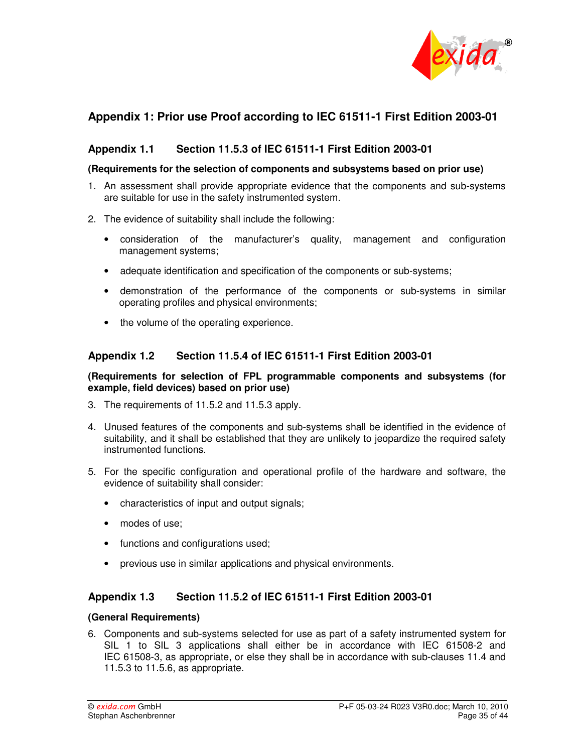

## **Appendix 1: Prior use Proof according to IEC 61511-1 First Edition 2003-01**

## **Appendix 1.1 Section 11.5.3 of IEC 61511-1 First Edition 2003-01**

#### **(Requirements for the selection of components and subsystems based on prior use)**

- 1. An assessment shall provide appropriate evidence that the components and sub-systems are suitable for use in the safety instrumented system.
- 2. The evidence of suitability shall include the following:
	- consideration of the manufacturer's quality, management and configuration management systems;
	- adequate identification and specification of the components or sub-systems;
	- demonstration of the performance of the components or sub-systems in similar operating profiles and physical environments;
	- the volume of the operating experience.

### **Appendix 1.2 Section 11.5.4 of IEC 61511-1 First Edition 2003-01**

#### **(Requirements for selection of FPL programmable components and subsystems (for example, field devices) based on prior use)**

- 3. The requirements of 11.5.2 and 11.5.3 apply.
- 4. Unused features of the components and sub-systems shall be identified in the evidence of suitability, and it shall be established that they are unlikely to jeopardize the required safety instrumented functions.
- 5. For the specific configuration and operational profile of the hardware and software, the evidence of suitability shall consider:
	- characteristics of input and output signals;
	- modes of use;
	- functions and configurations used;
	- previous use in similar applications and physical environments.

### **Appendix 1.3 Section 11.5.2 of IEC 61511-1 First Edition 2003-01**

#### **(General Requirements)**

6. Components and sub-systems selected for use as part of a safety instrumented system for SIL 1 to SIL 3 applications shall either be in accordance with IEC 61508-2 and IEC 61508-3, as appropriate, or else they shall be in accordance with sub-clauses 11.4 and 11.5.3 to 11.5.6, as appropriate.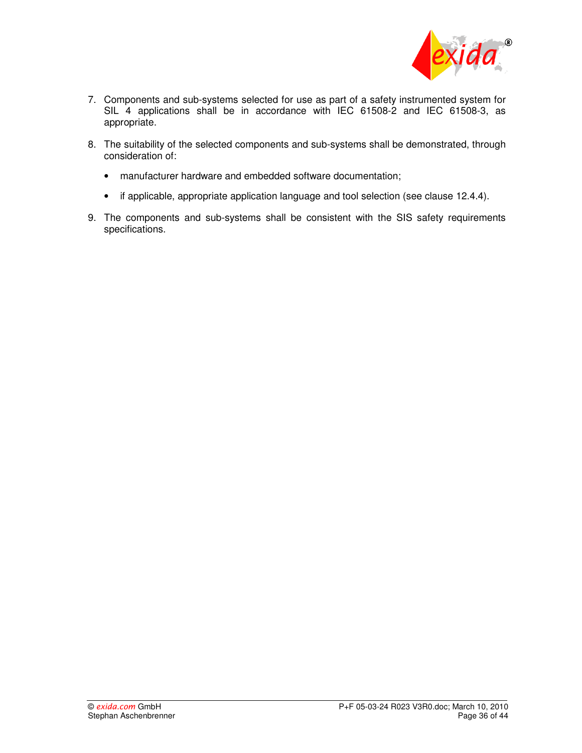

- 7. Components and sub-systems selected for use as part of a safety instrumented system for SIL 4 applications shall be in accordance with IEC 61508-2 and IEC 61508-3, as appropriate.
- 8. The suitability of the selected components and sub-systems shall be demonstrated, through consideration of:
	- manufacturer hardware and embedded software documentation;
	- if applicable, appropriate application language and tool selection (see clause 12.4.4).
- 9. The components and sub-systems shall be consistent with the SIS safety requirements specifications.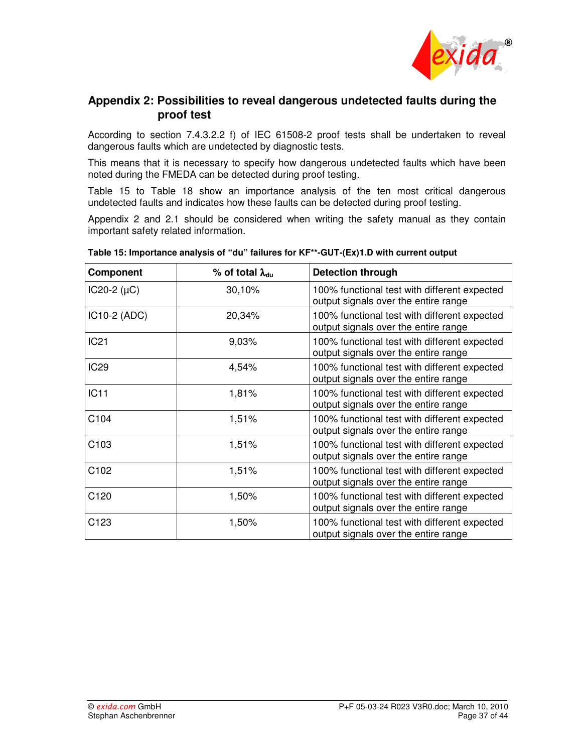

## **Appendix 2: Possibilities to reveal dangerous undetected faults during the proof test**

According to section 7.4.3.2.2 f) of IEC 61508-2 proof tests shall be undertaken to reveal dangerous faults which are undetected by diagnostic tests.

This means that it is necessary to specify how dangerous undetected faults which have been noted during the FMEDA can be detected during proof testing.

Table 15 to Table 18 show an importance analysis of the ten most critical dangerous undetected faults and indicates how these faults can be detected during proof testing.

Appendix 2 and 2.1 should be considered when writing the safety manual as they contain important safety related information.

| Component        | % of total $\lambda_{du}$ | <b>Detection through</b>                                                             |
|------------------|---------------------------|--------------------------------------------------------------------------------------|
| IC20-2 $(\mu C)$ | 30,10%                    | 100% functional test with different expected<br>output signals over the entire range |
| IC10-2 (ADC)     | 20,34%                    | 100% functional test with different expected<br>output signals over the entire range |
| <b>IC21</b>      | 9,03%                     | 100% functional test with different expected<br>output signals over the entire range |
| <b>IC29</b>      | 4,54%                     | 100% functional test with different expected<br>output signals over the entire range |
| IC <sub>11</sub> | 1,81%                     | 100% functional test with different expected<br>output signals over the entire range |
| C104             | 1,51%                     | 100% functional test with different expected<br>output signals over the entire range |
| C <sub>103</sub> | 1,51%                     | 100% functional test with different expected<br>output signals over the entire range |
| C <sub>102</sub> | 1,51%                     | 100% functional test with different expected<br>output signals over the entire range |
| C120             | 1,50%                     | 100% functional test with different expected<br>output signals over the entire range |
| C123             | 1,50%                     | 100% functional test with different expected<br>output signals over the entire range |

#### **Table 15: Importance analysis of "du" failures for KF\*\*-GUT-(Ex)1.D with current output**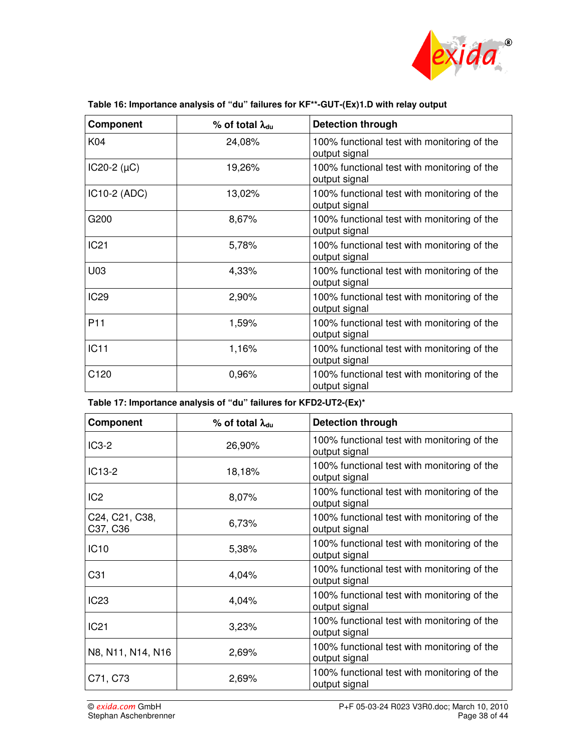

| <b>Component</b> | % of total $\lambda_{du}$ | <b>Detection through</b>                                     |
|------------------|---------------------------|--------------------------------------------------------------|
| K04              | 24,08%                    | 100% functional test with monitoring of the<br>output signal |
| IC20-2 $(\mu C)$ | 19,26%                    | 100% functional test with monitoring of the<br>output signal |
| IC10-2 (ADC)     | 13,02%                    | 100% functional test with monitoring of the<br>output signal |
| G200             | 8,67%                     | 100% functional test with monitoring of the<br>output signal |
| <b>IC21</b>      | 5,78%                     | 100% functional test with monitoring of the<br>output signal |
| U03              | 4,33%                     | 100% functional test with monitoring of the<br>output signal |
| <b>IC29</b>      | 2,90%                     | 100% functional test with monitoring of the<br>output signal |
| P <sub>11</sub>  | 1,59%                     | 100% functional test with monitoring of the<br>output signal |
| <b>IC11</b>      | 1,16%                     | 100% functional test with monitoring of the<br>output signal |
| C120             | 0,96%                     | 100% functional test with monitoring of the<br>output signal |

#### **Table 16: Importance analysis of "du" failures for KF\*\*-GUT-(Ex)1.D with relay output**

**Table 17: Importance analysis of "du" failures for KFD2-UT2-(Ex)\*** 

| Component                  | % of total $\lambda_{du}$ | <b>Detection through</b>                                     |
|----------------------------|---------------------------|--------------------------------------------------------------|
| $IC3-2$                    | 26,90%                    | 100% functional test with monitoring of the<br>output signal |
| IC13-2                     | 18,18%                    | 100% functional test with monitoring of the<br>output signal |
| IC <sub>2</sub>            | 8,07%                     | 100% functional test with monitoring of the<br>output signal |
| C24, C21, C38,<br>C37, C36 | 6,73%                     | 100% functional test with monitoring of the<br>output signal |
| <b>IC10</b>                | 5,38%                     | 100% functional test with monitoring of the<br>output signal |
| C <sub>31</sub>            | 4,04%                     | 100% functional test with monitoring of the<br>output signal |
| <b>IC23</b>                | 4,04%                     | 100% functional test with monitoring of the<br>output signal |
| <b>IC21</b>                | 3,23%                     | 100% functional test with monitoring of the<br>output signal |
| N8, N11, N14, N16          | 2,69%                     | 100% functional test with monitoring of the<br>output signal |
| C71, C73                   | 2,69%                     | 100% functional test with monitoring of the<br>output signal |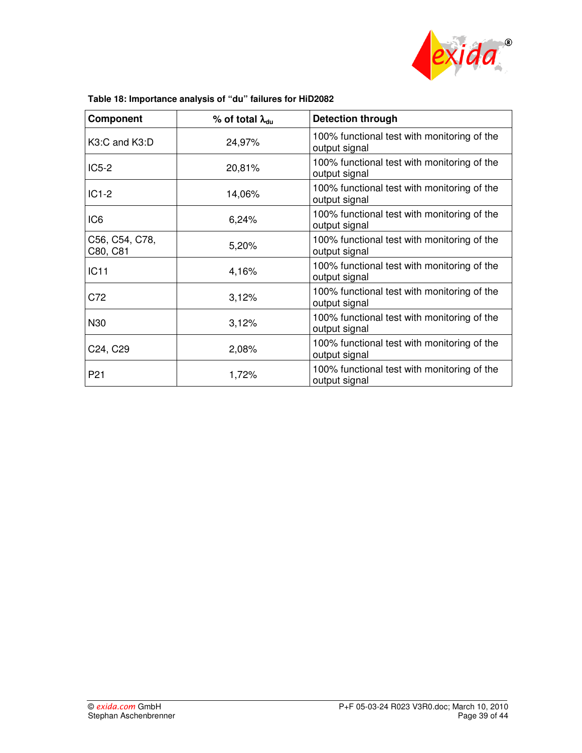

| <b>Component</b>           | % of total $\lambda_{du}$ | <b>Detection through</b>                                     |
|----------------------------|---------------------------|--------------------------------------------------------------|
| K3:C and K3:D              | 24,97%                    | 100% functional test with monitoring of the<br>output signal |
| $IC5-2$                    | 20,81%                    | 100% functional test with monitoring of the<br>output signal |
| $IC1-2$                    | 14,06%                    | 100% functional test with monitoring of the<br>output signal |
| IC <sub>6</sub>            | 6,24%                     | 100% functional test with monitoring of the<br>output signal |
| C56, C54, C78,<br>C80, C81 | 5,20%                     | 100% functional test with monitoring of the<br>output signal |
| <b>IC11</b>                | 4,16%                     | 100% functional test with monitoring of the<br>output signal |
| C72                        | 3,12%                     | 100% functional test with monitoring of the<br>output signal |
| N30                        | 3,12%                     | 100% functional test with monitoring of the<br>output signal |
| C24, C29                   | 2,08%                     | 100% functional test with monitoring of the<br>output signal |
| P <sub>21</sub>            | 1,72%                     | 100% functional test with monitoring of the<br>output signal |

|  |  |  |  |  | Table 18: Importance analysis of "du" failures for HiD2082 |
|--|--|--|--|--|------------------------------------------------------------|
|--|--|--|--|--|------------------------------------------------------------|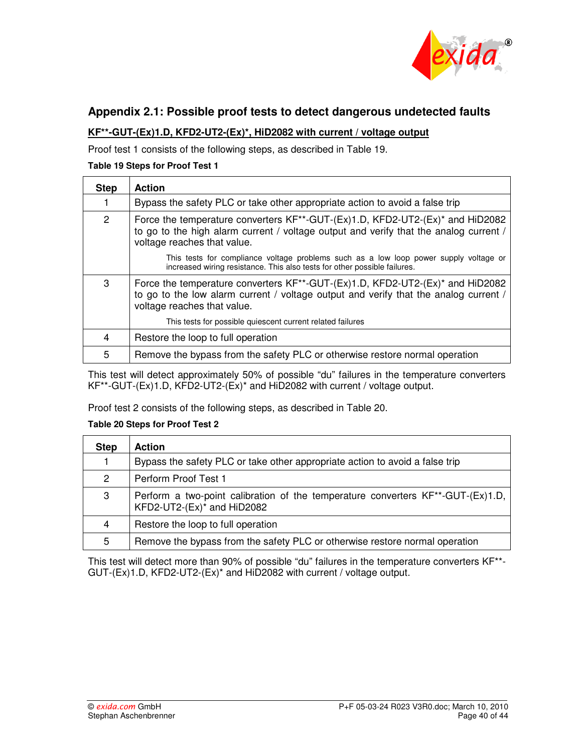

## **Appendix 2.1: Possible proof tests to detect dangerous undetected faults**

#### **KF\*\*-GUT-(Ex)1.D, KFD2-UT2-(Ex)\*, HiD2082 with current / voltage output**

Proof test 1 consists of the following steps, as described in Table 19.

#### **Table 19 Steps for Proof Test 1**

| <b>Step</b>    | <b>Action</b>                                                                                                                                                                                                                  |
|----------------|--------------------------------------------------------------------------------------------------------------------------------------------------------------------------------------------------------------------------------|
|                | Bypass the safety PLC or take other appropriate action to avoid a false trip                                                                                                                                                   |
| $\overline{2}$ | Force the temperature converters KF <sup>**</sup> -GUT-(Ex)1.D, KFD2-UT2-(Ex) <sup>*</sup> and HiD2082<br>to go to the high alarm current / voltage output and verify that the analog current /<br>voltage reaches that value. |
|                | This tests for compliance voltage problems such as a low loop power supply voltage or<br>increased wiring resistance. This also tests for other possible failures.                                                             |
| 3              | Force the temperature converters KF**-GUT-(Ex)1.D, KFD2-UT2-(Ex)* and HiD2082<br>to go to the low alarm current / voltage output and verify that the analog current /<br>voltage reaches that value.                           |
|                | This tests for possible quiescent current related failures                                                                                                                                                                     |
| 4              | Restore the loop to full operation                                                                                                                                                                                             |
| 5              | Remove the bypass from the safety PLC or otherwise restore normal operation                                                                                                                                                    |

This test will detect approximately 50% of possible "du" failures in the temperature converters KF\*\*-GUT-(Ex)1.D, KFD2-UT2-(Ex)\* and HiD2082 with current / voltage output.

Proof test 2 consists of the following steps, as described in Table 20.

#### **Table 20 Steps for Proof Test 2**

| <b>Step</b> | <b>Action</b>                                                                                                 |
|-------------|---------------------------------------------------------------------------------------------------------------|
| 1           | Bypass the safety PLC or take other appropriate action to avoid a false trip                                  |
| 2           | Perform Proof Test 1                                                                                          |
| 3           | Perform a two-point calibration of the temperature converters KF**-GUT-(Ex)1.D,<br>KFD2-UT2-(Ex)* and HiD2082 |
| 4           | Restore the loop to full operation                                                                            |
| 5           | Remove the bypass from the safety PLC or otherwise restore normal operation                                   |

This test will detect more than 90% of possible "du" failures in the temperature converters KF\*\*- GUT-(Ex)1.D, KFD2-UT2-(Ex)\* and HiD2082 with current / voltage output.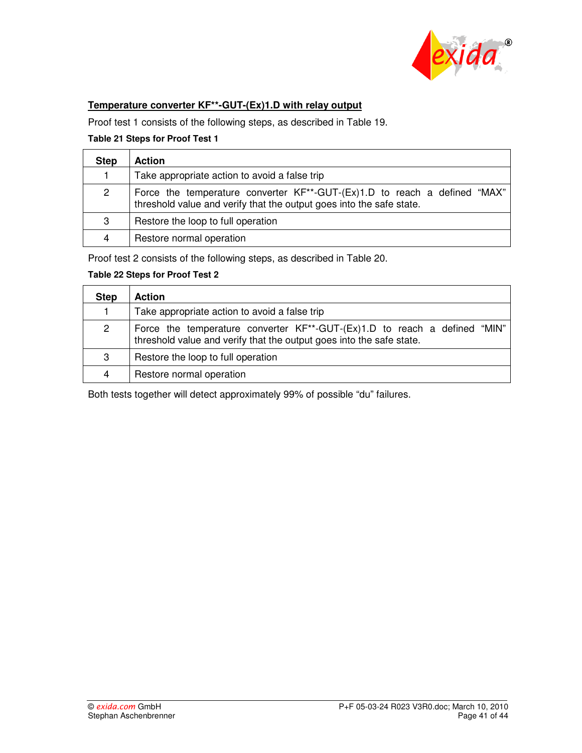

### **Temperature converter KF\*\*-GUT-(Ex)1.D with relay output**

Proof test 1 consists of the following steps, as described in Table 19.

#### **Table 21 Steps for Proof Test 1**

| <b>Step</b>          | <b>Action</b>                                                                                                                                     |
|----------------------|---------------------------------------------------------------------------------------------------------------------------------------------------|
|                      | Take appropriate action to avoid a false trip                                                                                                     |
| $\mathbf{2}^{\circ}$ | Force the temperature converter KF**-GUT-(Ex)1.D to reach a defined "MAX"<br>threshold value and verify that the output goes into the safe state. |
| 3                    | Restore the loop to full operation                                                                                                                |
| 4                    | Restore normal operation                                                                                                                          |

Proof test 2 consists of the following steps, as described in Table 20.

#### **Table 22 Steps for Proof Test 2**

| <b>Step</b>          | <b>Action</b>                                                                                                                                         |
|----------------------|-------------------------------------------------------------------------------------------------------------------------------------------------------|
|                      | Take appropriate action to avoid a false trip                                                                                                         |
| $\mathbf{2}^{\circ}$ | Force the temperature converter $KF^{**}GUT-(Ex)1.D$ to reach a defined "MIN"<br>threshold value and verify that the output goes into the safe state. |
| 3                    | Restore the loop to full operation                                                                                                                    |
| 4                    | Restore normal operation                                                                                                                              |

Both tests together will detect approximately 99% of possible "du" failures.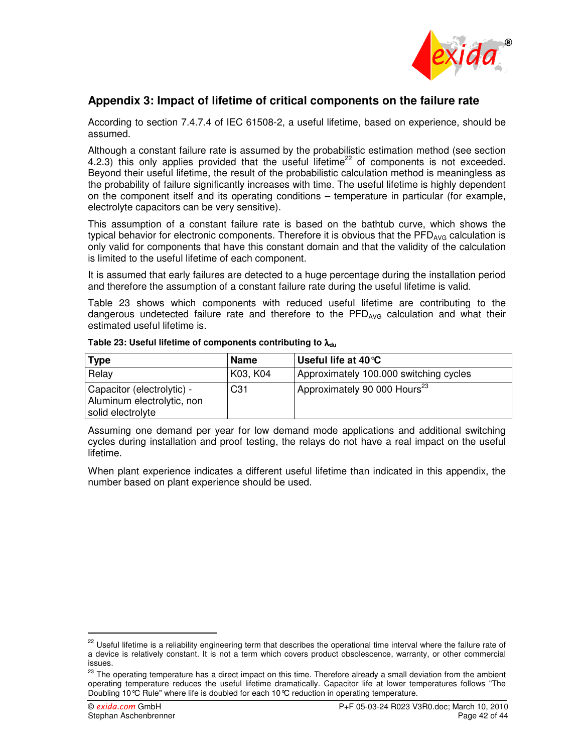

## **Appendix 3: Impact of lifetime of critical components on the failure rate**

According to section 7.4.7.4 of IEC 61508-2, a useful lifetime, based on experience, should be assumed.

Although a constant failure rate is assumed by the probabilistic estimation method (see section 4.2.3) this only applies provided that the useful lifetime<sup>22</sup> of components is not exceeded. Beyond their useful lifetime, the result of the probabilistic calculation method is meaningless as the probability of failure significantly increases with time. The useful lifetime is highly dependent on the component itself and its operating conditions – temperature in particular (for example, electrolyte capacitors can be very sensitive).

This assumption of a constant failure rate is based on the bathtub curve, which shows the typical behavior for electronic components. Therefore it is obvious that the  $\text{PFD}_{\text{AVG}}$  calculation is only valid for components that have this constant domain and that the validity of the calculation is limited to the useful lifetime of each component.

It is assumed that early failures are detected to a huge percentage during the installation period and therefore the assumption of a constant failure rate during the useful lifetime is valid.

Table 23 shows which components with reduced useful lifetime are contributing to the dangerous undetected failure rate and therefore to the  $PFD_{AVG}$  calculation and what their estimated useful lifetime is.

| Type                                                                          | <b>Name</b>     | Useful life at 40 °C                     |
|-------------------------------------------------------------------------------|-----------------|------------------------------------------|
| Relay                                                                         | K03, K04        | Approximately 100.000 switching cycles   |
| Capacitor (electrolytic) -<br>Aluminum electrolytic, non<br>solid electrolyte | C <sub>31</sub> | Approximately 90 000 Hours <sup>23</sup> |

#### Table 23: Useful lifetime of components contributing to  $λ_{du}$

Assuming one demand per year for low demand mode applications and additional switching cycles during installation and proof testing, the relays do not have a real impact on the useful lifetime.

When plant experience indicates a different useful lifetime than indicated in this appendix, the number based on plant experience should be used.

 $\overline{a}$ 

<sup>&</sup>lt;sup>22</sup> Useful lifetime is a reliability engineering term that describes the operational time interval where the failure rate of a device is relatively constant. It is not a term which covers product obsolescence, warranty, or other commercial issues.

<sup>&</sup>lt;sup>23</sup> The operating temperature has a direct impact on this time. Therefore already a small deviation from the ambient operating temperature reduces the useful lifetime dramatically. Capacitor life at lower temperatures follows "The Doubling 10°C Rule" where life is doubled for each 10°C reduction in operating temperature.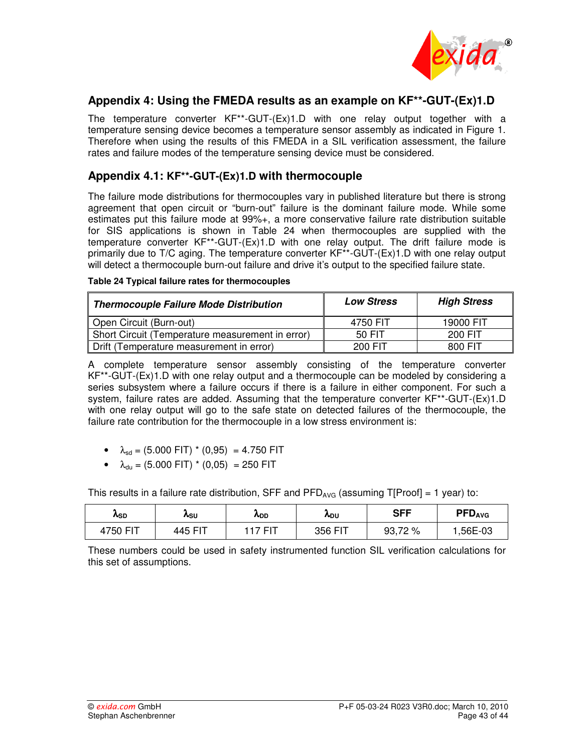

## **Appendix 4: Using the FMEDA results as an example on KF\*\*-GUT-(Ex)1.D**

The temperature converter KF\*\*-GUT-(Ex)1.D with one relay output together with a temperature sensing device becomes a temperature sensor assembly as indicated in Figure 1. Therefore when using the results of this FMEDA in a SIL verification assessment, the failure rates and failure modes of the temperature sensing device must be considered.

## **Appendix 4.1: KF\*\*-GUT-(Ex)1.D with thermocouple**

The failure mode distributions for thermocouples vary in published literature but there is strong agreement that open circuit or "burn-out" failure is the dominant failure mode. While some estimates put this failure mode at 99%+, a more conservative failure rate distribution suitable for SIS applications is shown in Table 24 when thermocouples are supplied with the temperature converter KF\*\*-GUT-(Ex)1.D with one relay output. The drift failure mode is primarily due to T/C aging. The temperature converter KF\*\*-GUT-(Ex)1.D with one relay output will detect a thermocouple burn-out failure and drive it's output to the specified failure state.

|  |  |  |  |  | Table 24 Typical failure rates for thermocouples |
|--|--|--|--|--|--------------------------------------------------|
|--|--|--|--|--|--------------------------------------------------|

| <b>Thermocouple Failure Mode Distribution</b>    | <b>Low Stress</b> | <b>High Stress</b> |  |
|--------------------------------------------------|-------------------|--------------------|--|
| Open Circuit (Burn-out)                          | 4750 FIT          | 19000 FIT          |  |
| Short Circuit (Temperature measurement in error) | 50 FIT            | 200 FIT            |  |
| Drift (Temperature measurement in error)         | 200 FIT           | 800 FIT            |  |

A complete temperature sensor assembly consisting of the temperature converter KF\*\*-GUT-(Ex)1.D with one relay output and a thermocouple can be modeled by considering a series subsystem where a failure occurs if there is a failure in either component. For such a system, failure rates are added. Assuming that the temperature converter KF\*\*-GUT-(Ex)1.D with one relay output will go to the safe state on detected failures of the thermocouple, the failure rate contribution for the thermocouple in a low stress environment is:

- $\lambda_{sd} = (5.000 \text{ FIT}) * (0.95) = 4.750 \text{ FIT}$
- $\lambda_{du} = (5.000 \text{ FIT}) * (0.05) = 250 \text{ FIT}$

This results in a failure rate distribution, SFF and  $PFD_{AVG}$  (assuming T[Proof] = 1 year) to:

| <b>A</b> sd | <b>ASU</b> | <b>ADD</b> | <b>ADU</b> | <b>SFF</b> | <b>PFD<sub>AVG</sub></b> |
|-------------|------------|------------|------------|------------|--------------------------|
| 4750 FIT    | 445 FIT    | $17$ FIT   | 356 FIT    | 93,72 %    | ,56E-03                  |

These numbers could be used in safety instrumented function SIL verification calculations for this set of assumptions.